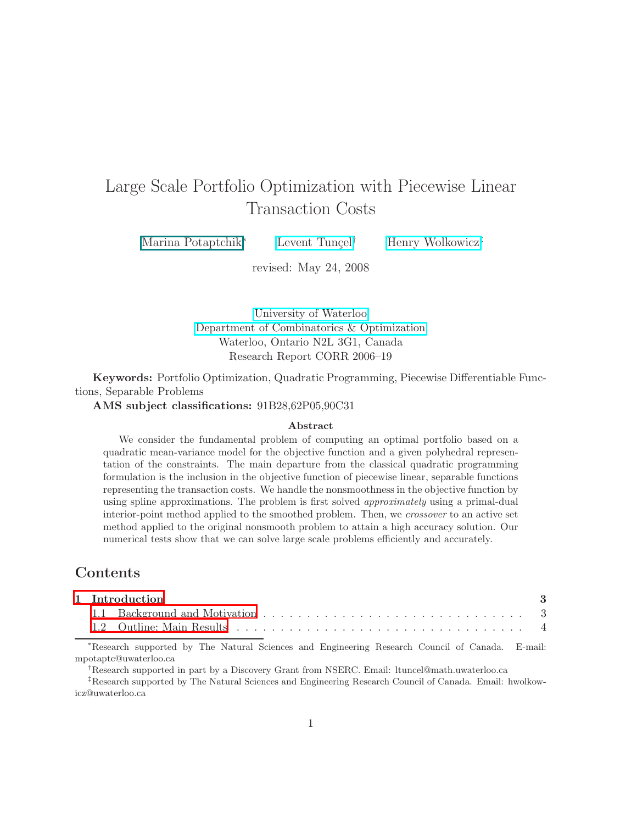# Large Scale Portfolio Optimization with Piecewise Linear Transaction Costs

Marina Potaptchik<sup>∗</sup> Levent Tunçel<sup>†</sup> [Henry Wolkowicz](http://orion.math.uwaterloo.ca/~hwolkowi/)<sup>‡</sup>

revised: May 24, 2008

[University of Waterloo](http://www.uwaterloo.ca/) [Department of Combinatorics & Optimization](http://www.math.uwaterloo.ca/CandO_Dept/homepage.html) Waterloo, Ontario N2L 3G1, Canada Research Report CORR 2006–19

Keywords: Portfolio Optimization, Quadratic Programming, Piecewise Differentiable Functions, Separable Problems

AMS subject classifications: 91B28,62P05,90C31

#### Abstract

We consider the fundamental problem of computing an optimal portfolio based on a quadratic mean-variance model for the objective function and a given polyhedral representation of the constraints. The main departure from the classical quadratic programming formulation is the inclusion in the objective function of piecewise linear, separable functions representing the transaction costs. We handle the nonsmoothness in the objective function by using spline approximations. The problem is first solved approximately using a primal-dual interior-point method applied to the smoothed problem. Then, we crossover to an active set method applied to the original nonsmooth problem to attain a high accuracy solution. Our numerical tests show that we can solve large scale problems efficiently and accurately.

## Contents

|  | 1 Introduction |  |
|--|----------------|--|
|  |                |  |
|  |                |  |

<sup>∗</sup>Research supported by The Natural Sciences and Engineering Research Council of Canada. E-mail: mpotaptc@uwaterloo.ca

†Research supported in part by a Discovery Grant from NSERC. Email: ltuncel@math.uwaterloo.ca

‡Research supported by The Natural Sciences and Engineering Research Council of Canada. Email: hwolkowicz@uwaterloo.ca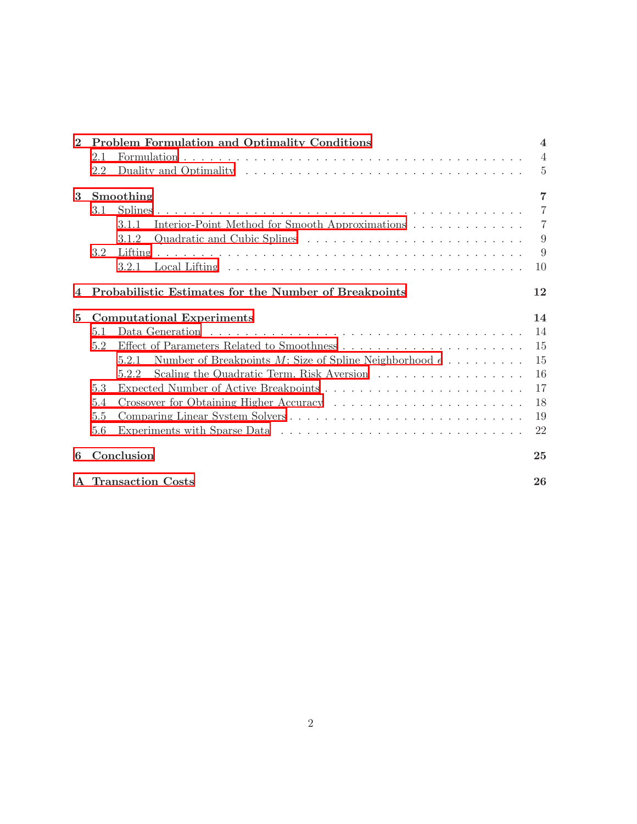| $\mathbf{2}$ | Problem Formulation and Optimality Conditions                            | $\overline{4}$ |
|--------------|--------------------------------------------------------------------------|----------------|
|              | 2.1                                                                      | $\overline{4}$ |
|              | 2.2                                                                      | $\overline{5}$ |
| 3            | Smoothing                                                                | $\overline{7}$ |
|              | 3.1                                                                      | $\overline{7}$ |
|              | Interior-Point Method for Smooth Approximations<br>3.1.1                 | $\overline{7}$ |
|              | 3.1.2                                                                    | 9              |
|              | 3.2                                                                      | 9              |
|              | 3.2.1                                                                    | 10             |
|              | Probabilistic Estimates for the Number of Breakpoints                    | 12             |
| $5^{\circ}$  | <b>Computational Experiments</b>                                         | 14             |
|              | 5.1                                                                      | 14             |
|              | 5.2                                                                      | 15             |
|              | Number of Breakpoints M; Size of Spline Neighborhood $\epsilon$<br>5.2.1 | 15             |
|              | Scaling the Quadratic Term, Risk Aversion<br>5.2.2                       | 16             |
|              | 5.3                                                                      | 17             |
|              | 5.4                                                                      | 18             |
|              | Comparing Linear System Solvers<br>5.5                                   | 19             |
|              | 5.6                                                                      | 22             |
| 6            | Conclusion                                                               | 25             |
|              | A Transaction Costs                                                      | 26             |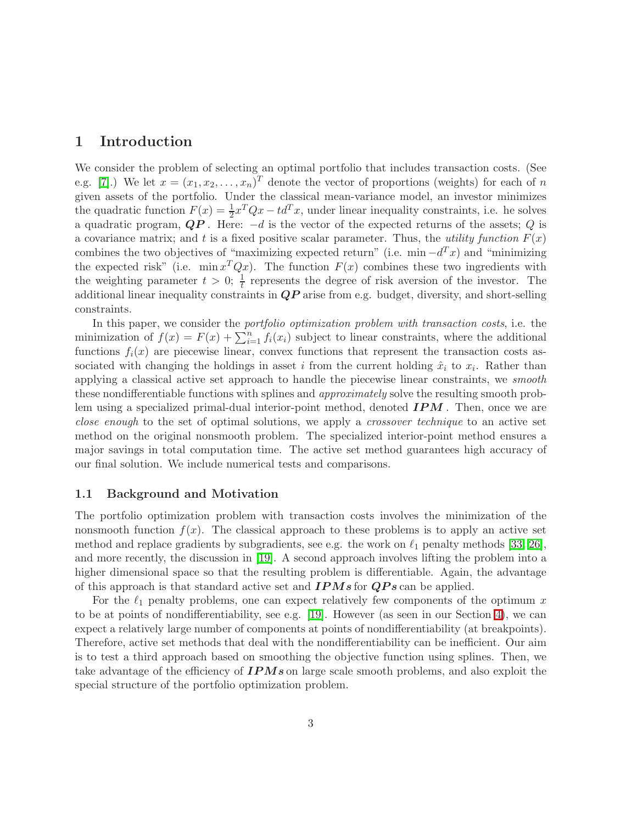### <span id="page-2-0"></span>1 Introduction

We consider the problem of selecting an optimal portfolio that includes transaction costs. (See e.g. [\[7\]](#page-28-0).) We let  $x = (x_1, x_2, \ldots, x_n)^T$  denote the vector of proportions (weights) for each of n given assets of the portfolio. Under the classical mean-variance model, an investor minimizes the quadratic function  $F(x) = \frac{1}{2}x^TQx - td^Tx$ , under linear inequality constraints, i.e. he solves a quadratic program,  $QP$ . Here:  $-d$  is the vector of the expected returns of the assets; Q is a covariance matrix; and t is a fixed positive scalar parameter. Thus, the *utility function*  $F(x)$ combines the two objectives of "maximizing expected return" (i.e. min  $-d^T x$ ) and "minimizing the expected risk" (i.e.  $\min x^T Q x$ ). The function  $F(x)$  combines these two ingredients with the weighting parameter  $t > 0$ ;  $\frac{1}{t}$  represents the degree of risk aversion of the investor. The additional linear inequality constraints in  $QP$  arise from e.g. budget, diversity, and short-selling constraints.

In this paper, we consider the *portfolio optimization problem with transaction costs*, i.e. the minimization of  $f(x) = F(x) + \sum_{i=1}^{n} f_i(x_i)$  subject to linear constraints, where the additional functions  $f_i(x)$  are piecewise linear, convex functions that represent the transaction costs associated with changing the holdings in asset i from the current holding  $\hat{x}_i$  to  $x_i$ . Rather than applying a classical active set approach to handle the piecewise linear constraints, we smooth these nondifferentiable functions with splines and approximately solve the resulting smooth problem using a specialized primal-dual interior-point method, denoted  $IPM$ . Then, once we are close enough to the set of optimal solutions, we apply a crossover technique to an active set method on the original nonsmooth problem. The specialized interior-point method ensures a major savings in total computation time. The active set method guarantees high accuracy of our final solution. We include numerical tests and comparisons.

#### <span id="page-2-1"></span>1.1 Background and Motivation

The portfolio optimization problem with transaction costs involves the minimization of the nonsmooth function  $f(x)$ . The classical approach to these problems is to apply an active set method and replace gradients by subgradients, see e.g. the work on  $\ell_1$  penalty methods [\[33,](#page-30-0) [26\]](#page-29-0), and more recently, the discussion in [\[19\]](#page-29-1). A second approach involves lifting the problem into a higher dimensional space so that the resulting problem is differentiable. Again, the advantage of this approach is that standard active set and  $IPMs$  for  $QPs$  can be applied.

For the  $\ell_1$  penalty problems, one can expect relatively few components of the optimum x to be at points of nondifferentiability, see e.g. [\[19\]](#page-29-1). However (as seen in our Section [4\)](#page-11-0), we can expect a relatively large number of components at points of nondifferentiability (at breakpoints). Therefore, active set methods that deal with the nondifferentiability can be inefficient. Our aim is to test a third approach based on smoothing the objective function using splines. Then, we take advantage of the efficiency of  $IPMs$  on large scale smooth problems, and also exploit the special structure of the portfolio optimization problem.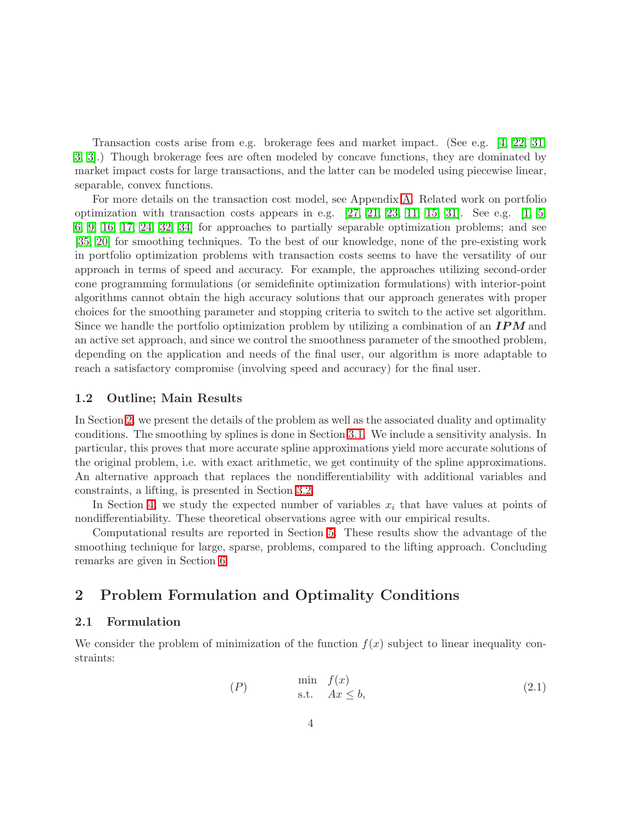Transaction costs arise from e.g. brokerage fees and market impact. (See e.g. [\[4,](#page-28-1) [22,](#page-29-2) [31,](#page-30-1) [3, 3\]](#page-28-2).) Though brokerage fees are often modeled by concave functions, they are dominated by market impact costs for large transactions, and the latter can be modeled using piecewise linear, separable, convex functions.

For more details on the transaction cost model, see Appendix [A.](#page-25-0) Related work on portfolio optimization with transaction costs appears in e.g.  $[27, 21, 23, 11, 15, 31]$  $[27, 21, 23, 11, 15, 31]$  $[27, 21, 23, 11, 15, 31]$  $[27, 21, 23, 11, 15, 31]$  $[27, 21, 23, 11, 15, 31]$  $[27, 21, 23, 11, 15, 31]$ . See e.g.  $[1, 5, 31]$  $[1, 5, 31]$  $[1, 5, 31]$ [6,](#page-28-6) [9,](#page-28-7) [16,](#page-29-7) [17,](#page-29-8) [24,](#page-29-9) [32,](#page-30-2) [34\]](#page-30-3) for approaches to partially separable optimization problems; and see [\[35,](#page-30-4) [20\]](#page-29-10) for smoothing techniques. To the best of our knowledge, none of the pre-existing work in portfolio optimization problems with transaction costs seems to have the versatility of our approach in terms of speed and accuracy. For example, the approaches utilizing second-order cone programming formulations (or semidefinite optimization formulations) with interior-point algorithms cannot obtain the high accuracy solutions that our approach generates with proper choices for the smoothing parameter and stopping criteria to switch to the active set algorithm. Since we handle the portfolio optimization problem by utilizing a combination of an  $IPM$  and an active set approach, and since we control the smoothness parameter of the smoothed problem, depending on the application and needs of the final user, our algorithm is more adaptable to reach a satisfactory compromise (involving speed and accuracy) for the final user.

#### <span id="page-3-0"></span>1.2 Outline; Main Results

In Section [2,](#page-3-1) we present the details of the problem as well as the associated duality and optimality conditions. The smoothing by splines is done in Section [3.1.](#page-6-1) We include a sensitivity analysis. In particular, this proves that more accurate spline approximations yield more accurate solutions of the original problem, i.e. with exact arithmetic, we get continuity of the spline approximations. An alternative approach that replaces the nondifferentiability with additional variables and constraints, a lifting, is presented in Section [3.2.](#page-8-1)

In Section [4,](#page-11-0) we study the expected number of variables  $x_i$  that have values at points of nondifferentiability. These theoretical observations agree with our empirical results.

Computational results are reported in Section [5.](#page-13-0) These results show the advantage of the smoothing technique for large, sparse, problems, compared to the lifting approach. Concluding remarks are given in Section [6.](#page-24-0)

## <span id="page-3-1"></span>2 Problem Formulation and Optimality Conditions

### <span id="page-3-2"></span>2.1 Formulation

We consider the problem of minimization of the function  $f(x)$  subject to linear inequality constraints:

<span id="page-3-3"></span>
$$
(P) \qquad \min_{\text{s.t.}} f(x) \qquad (2.1)
$$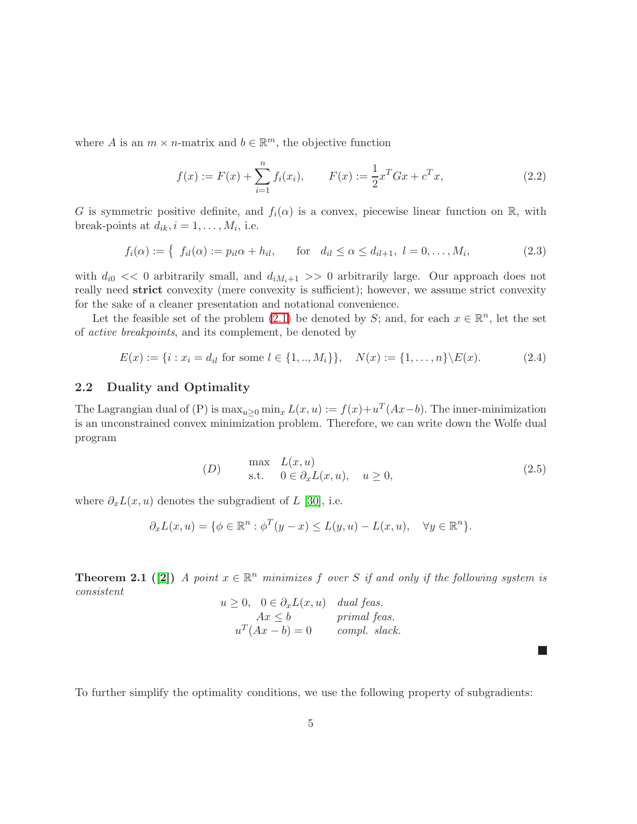where A is an  $m \times n$ -matrix and  $b \in \mathbb{R}^m$ , the objective function

$$
f(x) := F(x) + \sum_{i=1}^{n} f_i(x_i), \qquad F(x) := \frac{1}{2} x^T G x + c^T x,
$$
\n(2.2)

G is symmetric positive definite, and  $f_i(\alpha)$  is a convex, piecewise linear function on R, with break-points at  $d_{ik}$ ,  $i = 1, \ldots, M_i$ , i.e.

$$
f_i(\alpha) := \{ f_{il}(\alpha) := p_{il}\alpha + h_{il}, \quad \text{for} \quad d_{il} \le \alpha \le d_{il+1}, \ l = 0, \dots, M_i,
$$
 (2.3)

<span id="page-4-2"></span>with  $d_{i0} \ll 0$  arbitrarily small, and  $d_{iM_i+1} >> 0$  arbitrarily large. Our approach does not really need strict convexity (mere convexity is sufficient); however, we assume strict convexity for the sake of a cleaner presentation and notational convenience.

Let the feasible set of the problem [\(2.1\)](#page-3-3) be denoted by S; and, for each  $x \in \mathbb{R}^n$ , let the set of active breakpoints, and its complement, be denoted by

 $E(x) := \{i : x_i = d_{il} \text{ for some } l \in \{1, ..., M_i\}\}, \quad N(x) := \{1, ..., n\} \backslash E(x).$  (2.4)

### <span id="page-4-0"></span>2.2 Duality and Optimality

The Lagrangian dual of (P) is  $\max_{u\geq 0} \min_x L(x, u) := f(x) + u^T(Ax - b)$ . The inner-minimization is an unconstrained convex minimization problem. Therefore, we can write down the Wolfe dual program

$$
(D) \quad \max_{\text{s.t.}} \quad L(x, u) \n\text{s.t.} \quad 0 \in \partial_x L(x, u), \quad u \ge 0,
$$
\n
$$
(2.5)
$$

<span id="page-4-1"></span>L.

where  $\partial_x L(x, u)$  denotes the subgradient of L [\[30\]](#page-30-5), i.e.

$$
\partial_x L(x, u) = \{ \phi \in \mathbb{R}^n : \phi^T(y - x) \le L(y, u) - L(x, u), \quad \forall y \in \mathbb{R}^n \}.
$$

**Theorem 2.1** ([\[2\]](#page-28-8)) A point  $x \in \mathbb{R}^n$  minimizes f over S if and only if the following system is consistent

$$
u \ge 0, \quad 0 \in \partial_x L(x, u) \quad dual \; feas.
$$
  
 
$$
Ax \le b \qquad \qquad primal \;feas.
$$
  
 
$$
u^T(Ax - b) = 0 \qquad \qquad complex \; slack.
$$

To further simplify the optimality conditions, we use the following property of subgradients: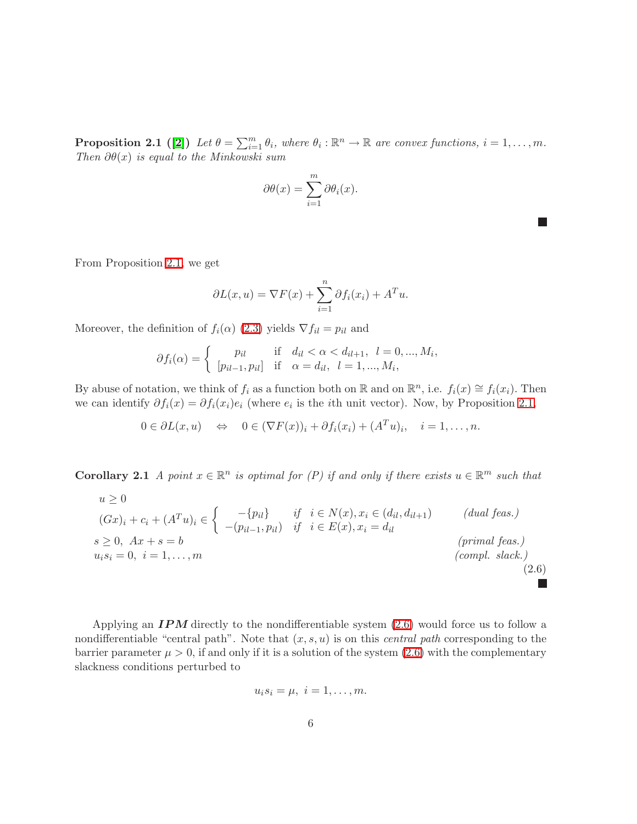**Proposition 2.1** ([\[2\]](#page-28-8)) Let  $\theta = \sum_{i=1}^{m} \theta_i$ , where  $\theta_i : \mathbb{R}^n \to \mathbb{R}$  are convex functions,  $i = 1, ..., m$ . Then  $\partial \theta(x)$  is equal to the Minkowski sum

$$
\partial \theta(x) = \sum_{i=1}^{m} \partial \theta_i(x).
$$

L.

 $\mathbb{R}^n$ 

From Proposition [2.1,](#page-4-1) we get

$$
\partial L(x, u) = \nabla F(x) + \sum_{i=1}^{n} \partial f_i(x_i) + A^T u.
$$

Moreover, the definition of  $f_i(\alpha)$  [\(2.3\)](#page-4-2) yields  $\nabla f_{il} = p_{il}$  and

$$
\partial f_i(\alpha) = \begin{cases} p_{il} & \text{if } d_{il} < \alpha < d_{il+1}, \ l = 0, ..., M_i, \\ [p_{il-1}, p_{il}] & \text{if } \alpha = d_{il}, \ l = 1, ..., M_i, \end{cases}
$$

By abuse of notation, we think of  $f_i$  as a function both on  $\mathbb{R}$  and on  $\mathbb{R}^n$ , i.e.  $f_i(x) \cong f_i(x_i)$ . Then we can identify  $\partial f_i(x) = \partial f_i(x_i) e_i$  (where  $e_i$  is the *i*th unit vector). Now, by Proposition [2.1,](#page-4-1)

$$
0 \in \partial L(x, u) \quad \Leftrightarrow \quad 0 \in (\nabla F(x))_i + \partial f_i(x_i) + (A^T u)_i, \quad i = 1, \dots, n.
$$

<span id="page-5-0"></span>**Corollary 2.1** A point  $x \in \mathbb{R}^n$  is optimal for (P) if and only if there exists  $u \in \mathbb{R}^m$  such that

$$
u \ge 0
$$
  
\n
$$
(Gx)_i + c_i + (A^T u)_i \in \left\{ \begin{array}{ll} -\{p_{il}\} & \text{if } i \in N(x), x_i \in (d_{il}, d_{il+1})\\ -(p_{il-1}, p_{il}) & \text{if } i \in E(x), x_i = d_{il} \end{array} \right. \qquad (dual feas.)
$$
  
\n
$$
s \ge 0, \quad Ax + s = b \qquad (primal feas.)
$$
  
\n
$$
u_i s_i = 0, \quad i = 1, \dots, m \qquad (2.6)
$$

Applying an  $IPM$  directly to the nondifferentiable system  $(2.6)$  would force us to follow a nondifferentiable "central path". Note that  $(x, s, u)$  is on this *central path* corresponding to the barrier parameter  $\mu > 0$ , if and only if it is a solution of the system [\(2.6\)](#page-5-0) with the complementary slackness conditions perturbed to

$$
u_i s_i = \mu, \ i = 1, \ldots, m.
$$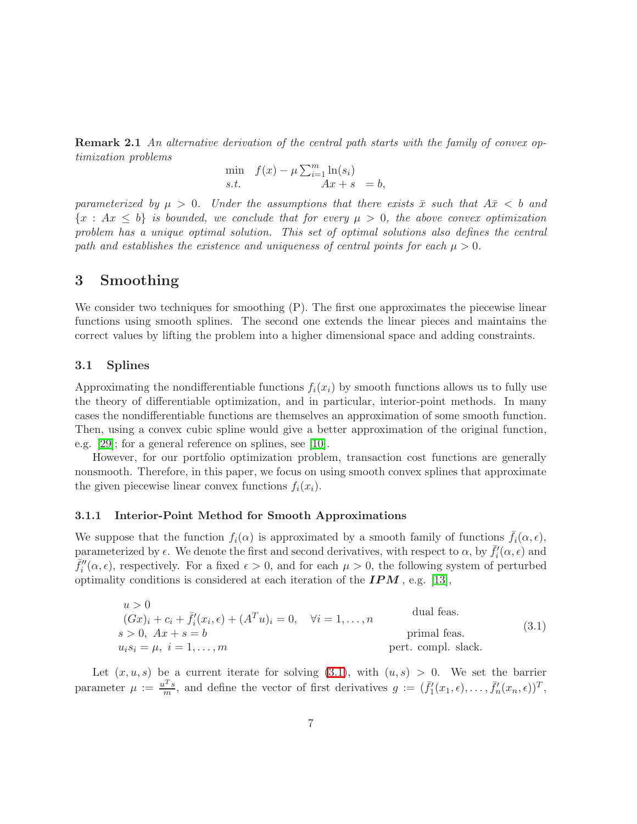Remark 2.1 An alternative derivation of the central path starts with the family of convex optimization problems

min  $f(x) - \mu \sum_{i=1}^{m} \ln(s_i)$ s.t.  $Ax + s = b$ ,

parameterized by  $\mu > 0$ . Under the assumptions that there exists  $\bar{x}$  such that  $A\bar{x} < b$  and  ${x : Ax \le b}$  is bounded, we conclude that for every  $\mu > 0$ , the above convex optimization problem has a unique optimal solution. This set of optimal solutions also defines the central path and establishes the existence and uniqueness of central points for each  $\mu > 0$ .

### <span id="page-6-0"></span>3 Smoothing

We consider two techniques for smoothing  $(P)$ . The first one approximates the piecewise linear functions using smooth splines. The second one extends the linear pieces and maintains the correct values by lifting the problem into a higher dimensional space and adding constraints.

### <span id="page-6-1"></span>3.1 Splines

Approximating the nondifferentiable functions  $f_i(x_i)$  by smooth functions allows us to fully use the theory of differentiable optimization, and in particular, interior-point methods. In many cases the nondifferentiable functions are themselves an approximation of some smooth function. Then, using a convex cubic spline would give a better approximation of the original function, e.g. [\[29\]](#page-30-6); for a general reference on splines, see [\[10\]](#page-28-9).

However, for our portfolio optimization problem, transaction cost functions are generally nonsmooth. Therefore, in this paper, we focus on using smooth convex splines that approximate the given piecewise linear convex functions  $f_i(x_i)$ .

#### <span id="page-6-2"></span>3.1.1 Interior-Point Method for Smooth Approximations

We suppose that the function  $f_i(\alpha)$  is approximated by a smooth family of functions  $\bar{f}_i(\alpha, \epsilon)$ , parameterized by  $\epsilon$ . We denote the first and second derivatives, with respect to  $\alpha$ , by  $\bar{f}_i'(\alpha, \epsilon)$  and  $\bar{f}_i''(\alpha, \epsilon)$ , respectively. For a fixed  $\epsilon > 0$ , and for each  $\mu > 0$ , the following system of perturbed optimality conditions is considered at each iteration of the  $IPM$ , e.g. [\[13\]](#page-28-10),

$$
u > 0
$$
  
\n
$$
(Gx)i + ci + \bar{f}'i(xi, \epsilon) + (ATu)i = 0, \quad \forall i = 1,..., n
$$
  
\n
$$
s > 0, Ax + s = b
$$
  
\n
$$
uisi = \mu, i = 1,..., m
$$
  
\n
$$
(3.1)
$$
  
\npartial feas.  
\npartial feas.  
\n
$$
(3.1)
$$

<span id="page-6-3"></span>Let  $(x, u, s)$  be a current iterate for solving [\(3.1\)](#page-6-3), with  $(u, s) > 0$ . We set the barrier parameter  $\mu := \frac{u^T s}{m}$ , and define the vector of first derivatives  $g := (\bar{f}_1^{\prime}(x_1, \epsilon), \ldots, \bar{f}_n^{\prime}(x_n, \epsilon))^T$ ,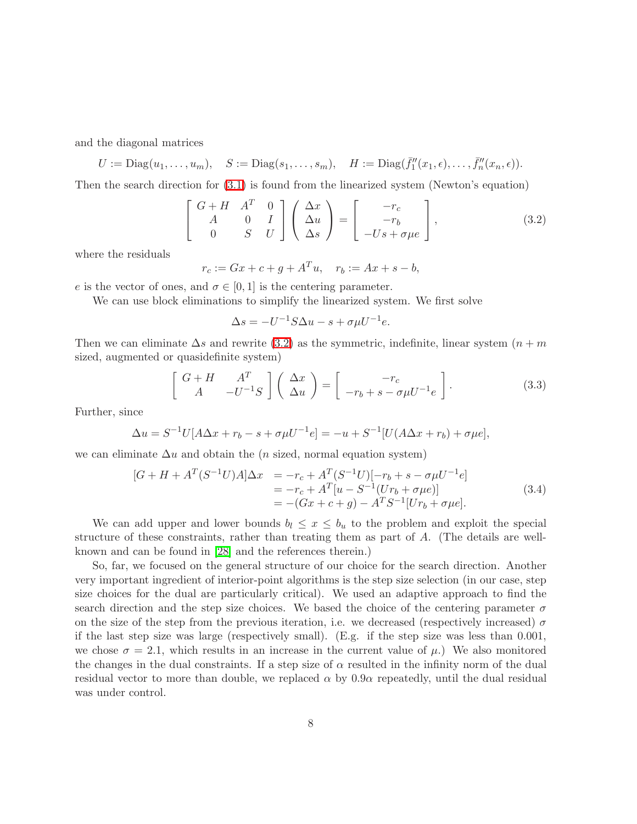and the diagonal matrices

$$
U := \text{Diag}(u_1, \ldots, u_m), \quad S := \text{Diag}(s_1, \ldots, s_m), \quad H := \text{Diag}(\bar{f}_1''(x_1, \epsilon), \ldots, \bar{f}_n''(x_n, \epsilon)).
$$

<span id="page-7-0"></span>Then the search direction for [\(3.1\)](#page-6-3) is found from the linearized system (Newton's equation)

$$
\begin{bmatrix}\nG+H & A^T & 0 \\
A & 0 & I \\
0 & S & U\n\end{bmatrix}\n\begin{pmatrix}\n\Delta x \\
\Delta u \\
\Delta s\n\end{pmatrix} =\n\begin{bmatrix}\n-r_c \\
-r_b \\
-Us+\sigma\mu e\n\end{bmatrix},
$$
\n(3.2)

where the residuals

$$
r_c := Gx + c + g + A^T u, \quad r_b := Ax + s - b,
$$

e is the vector of ones, and  $\sigma \in [0,1]$  is the centering parameter.

We can use block eliminations to simplify the linearized system. We first solve

$$
\Delta s = -U^{-1}S\Delta u - s + \sigma \mu U^{-1}e.
$$

<span id="page-7-1"></span>Then we can eliminate  $\Delta s$  and rewrite [\(3.2\)](#page-7-0) as the symmetric, indefinite, linear system  $(n + m)$ sized, augmented or quasidefinite system)

$$
\begin{bmatrix}\nG+H & A^T \\
A & -U^{-1}S\n\end{bmatrix}\n\begin{bmatrix}\n\Delta x \\
\Delta u\n\end{bmatrix} =\n\begin{bmatrix}\n-r_c \\
-r_b + s - \sigma \mu U^{-1} e\n\end{bmatrix}.
$$
\n(3.3)

Further, since

$$
\Delta u = S^{-1}U[A\Delta x + r_b - s + \sigma \mu U^{-1} e] = -u + S^{-1}[U(A\Delta x + r_b) + \sigma \mu e],
$$

<span id="page-7-2"></span>we can eliminate  $\Delta u$  and obtain the (*n* sized, normal equation system)

$$
[G + H + AT(S-1U)A] \Delta x = -r_c + AT(S-1U)[-r_b + s - \sigma \mu U-1e]
$$
  
= -r\_c + A<sup>T</sup>[u - S<sup>-1</sup>(Ur<sub>b</sub> + \sigma \mu e)]  
= -(Gx + c + g) - A<sup>T</sup>S<sup>-1</sup>[Ur<sub>b</sub> + \sigma \mu e]. (3.4)

We can add upper and lower bounds  $b_l \leq x \leq b_u$  to the problem and exploit the special structure of these constraints, rather than treating them as part of A. (The details are wellknown and can be found in [\[28\]](#page-30-7) and the references therein.)

So, far, we focused on the general structure of our choice for the search direction. Another very important ingredient of interior-point algorithms is the step size selection (in our case, step size choices for the dual are particularly critical). We used an adaptive approach to find the search direction and the step size choices. We based the choice of the centering parameter  $\sigma$ on the size of the step from the previous iteration, i.e. we decreased (respectively increased)  $\sigma$ if the last step size was large (respectively small). (E.g. if the step size was less than 0.001, we chose  $\sigma = 2.1$ , which results in an increase in the current value of  $\mu$ .) We also monitored the changes in the dual constraints. If a step size of  $\alpha$  resulted in the infinity norm of the dual residual vector to more than double, we replaced  $\alpha$  by  $0.9\alpha$  repeatedly, until the dual residual was under control.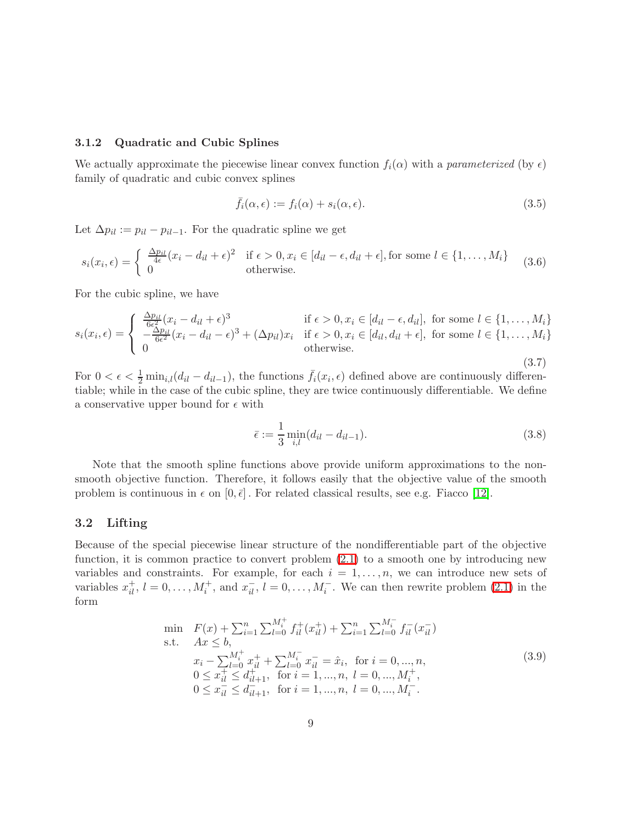### <span id="page-8-0"></span>3.1.2 Quadratic and Cubic Splines

We actually approximate the piecewise linear convex function  $f_i(\alpha)$  with a parameterized (by  $\epsilon$ ) family of quadratic and cubic convex splines

$$
\bar{f}_i(\alpha, \epsilon) := f_i(\alpha) + s_i(\alpha, \epsilon). \tag{3.5}
$$

Let  $\Delta p_{il} := p_{il} - p_{il-1}$ . For the quadratic spline we get

$$
s_i(x_i, \epsilon) = \begin{cases} \frac{\Delta p_{il}}{4\epsilon}(x_i - d_{il} + \epsilon)^2 & \text{if } \epsilon > 0, x_i \in [d_{il} - \epsilon, d_{il} + \epsilon], \text{for some } l \in \{1, ..., M_i\} \\ 0 & \text{otherwise.} \end{cases}
$$
(3.6)

For the cubic spline, we have

$$
s_i(x_i, \epsilon) = \begin{cases} \frac{\Delta p_{il}}{6\epsilon^2} (x_i - d_{il} + \epsilon)^3 & \text{if } \epsilon > 0, x_i \in [d_{il} - \epsilon, d_{il}], \text{ for some } l \in \{1, \dots, M_i\} \\ -\frac{\Delta p_{il}}{6\epsilon^2} (x_i - d_{il} - \epsilon)^3 + (\Delta p_{il}) x_i & \text{if } \epsilon > 0, x_i \in [d_{il}, d_{il} + \epsilon], \text{ for some } l \in \{1, \dots, M_i\} \\ 0 & \text{otherwise.} \end{cases}
$$
\n(3.7)

For  $0 < \epsilon < \frac{1}{2} \min_{i,l} (d_{il} - d_{il-1})$ , the functions  $\bar{f}_i(x_i, \epsilon)$  defined above are continuously differentiable; while in the case of the cubic spline, they are twice continuously differentiable. We define a conservative upper bound for  $\epsilon$  with

$$
\bar{\epsilon} := \frac{1}{3} \min_{i,l} (d_{il} - d_{il-1}).
$$
\n(3.8)

Note that the smooth spline functions above provide uniform approximations to the nonsmooth objective function. Therefore, it follows easily that the objective value of the smooth problem is continuous in  $\epsilon$  on  $[0, \bar{\epsilon}]$ . For related classical results, see e.g. Fiacco [\[12\]](#page-28-11).

### <span id="page-8-1"></span>3.2 Lifting

Because of the special piecewise linear structure of the nondifferentiable part of the objective function, it is common practice to convert problem [\(2.1\)](#page-3-3) to a smooth one by introducing new variables and constraints. For example, for each  $i = 1, \ldots, n$ , we can introduce new sets of variables  $x_{il}^+, l = 0, \ldots, M_i^+,$  and  $x_{il}^-, l = 0, \ldots, M_i^-$ . We can then rewrite problem [\(2.1\)](#page-3-3) in the form

<span id="page-8-2"></span>
$$
\begin{array}{ll}\n\min & F(x) + \sum_{i=1}^{n} \sum_{l=0}^{M_{i}^{+}} f_{il}^{+}(x_{il}^{+}) + \sum_{i=1}^{n} \sum_{l=0}^{M_{i}^{-}} f_{il}^{-}(x_{il}^{-}) \\
\text{s.t.} & Ax \leq b, \\
& x_{i} - \sum_{l=0}^{M_{i}^{+}} x_{il}^{+} + \sum_{l=0}^{M_{i}^{-}} x_{il}^{-} = \hat{x}_{i}, \quad \text{for } i = 0, \dots, n, \\
& 0 \leq x_{il}^{+} \leq d_{il+1}^{+}, \quad \text{for } i = 1, \dots, n, \quad l = 0, \dots, M_{i}^{+}, \\
& 0 \leq x_{il}^{-} \leq d_{il+1}^{-}, \quad \text{for } i = 1, \dots, n, \quad l = 0, \dots, M_{i}^{-}.\n\end{array} \tag{3.9}
$$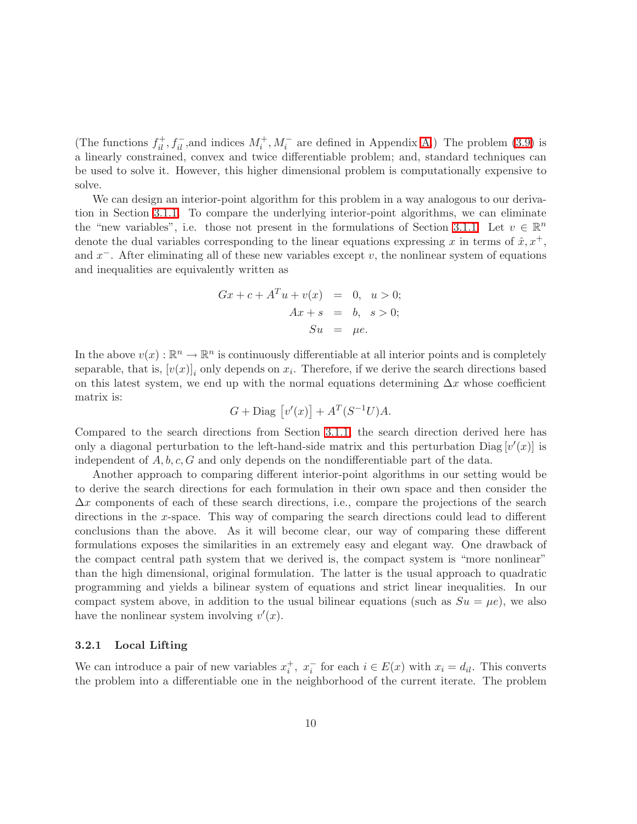(The functions  $f_{il}^+, f_{il}^-,$  and indices  $M_i^+, M_i^-$  are defined in Appendix [A.](#page-25-0)) The problem [\(3.9\)](#page-8-2) is a linearly constrained, convex and twice differentiable problem; and, standard techniques can be used to solve it. However, this higher dimensional problem is computationally expensive to solve.

We can design an interior-point algorithm for this problem in a way analogous to our derivation in Section [3.1.1.](#page-6-2) To compare the underlying interior-point algorithms, we can eliminate the "new variables", i.e. those not present in the formulations of Section [3.1.1.](#page-6-2) Let  $v \in \mathbb{R}^n$ denote the dual variables corresponding to the linear equations expressing x in terms of  $\hat{x}, x^+,$ and  $x^-$ . After eliminating all of these new variables except v, the nonlinear system of equations and inequalities are equivalently written as

$$
Gx + c + ATu + v(x) = 0, u > 0;
$$
  
\n
$$
Ax + s = b, s > 0;
$$
  
\n
$$
Su = \mu e.
$$

In the above  $v(x): \mathbb{R}^n \to \mathbb{R}^n$  is continuously differentiable at all interior points and is completely separable, that is,  $[v(x)]_i$  only depends on  $x_i$ . Therefore, if we derive the search directions based on this latest system, we end up with the normal equations determining  $\Delta x$  whose coefficient matrix is:

$$
G + \text{Diag}\left[v'(x)\right] + A^T(S^{-1}U)A.
$$

Compared to the search directions from Section [3.1.1,](#page-6-2) the search direction derived here has only a diagonal perturbation to the left-hand-side matrix and this perturbation  $\text{Diag}\left[v'(x)\right]$  is independent of  $A, b, c, G$  and only depends on the nondifferentiable part of the data.

Another approach to comparing different interior-point algorithms in our setting would be to derive the search directions for each formulation in their own space and then consider the  $\Delta x$  components of each of these search directions, i.e., compare the projections of the search directions in the x-space. This way of comparing the search directions could lead to different conclusions than the above. As it will become clear, our way of comparing these different formulations exposes the similarities in an extremely easy and elegant way. One drawback of the compact central path system that we derived is, the compact system is "more nonlinear" than the high dimensional, original formulation. The latter is the usual approach to quadratic programming and yields a bilinear system of equations and strict linear inequalities. In our compact system above, in addition to the usual bilinear equations (such as  $Su = \mu e$ ), we also have the nonlinear system involving  $v'(x)$ .

#### <span id="page-9-0"></span>3.2.1 Local Lifting

We can introduce a pair of new variables  $x_i^+$ ,  $x_i^-$  for each  $i \in E(x)$  with  $x_i = d_{il}$ . This converts the problem into a differentiable one in the neighborhood of the current iterate. The problem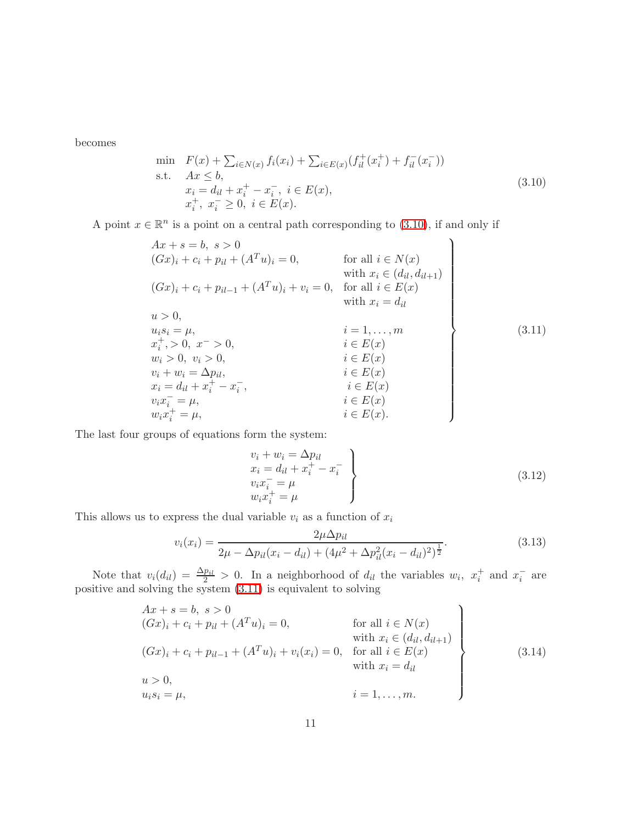<span id="page-10-0"></span>becomes

$$
\min \quad F(x) + \sum_{i \in N(x)} f_i(x_i) + \sum_{i \in E(x)} (f_{il}^+(x_i^+) + f_{il}^-(x_i^-))
$$
\n
$$
\text{s.t.} \quad Ax \leq b,
$$
\n
$$
x_i = d_{il} + x_i^+ - x_i^-, \ i \in E(x),
$$
\n
$$
x_i^+, \ x_i^- \geq 0, \ i \in E(x).
$$
\n
$$
(3.10)
$$

A point  $x \in \mathbb{R}^n$  is a point on a central path corresponding to [\(3.10\)](#page-10-0), if and only if

$$
Ax + s = b, s > 0
$$
  
\n
$$
(Gx)_i + c_i + p_{il} + (A^T u)_i = 0,
$$
 for all  $i \in N(x)$   
\nwith  $x_i \in (d_{il}, d_{il+1})$   
\n
$$
(Gx)_i + c_i + p_{il-1} + (A^T u)_i + v_i = 0,
$$
 for all  $i \in E(x)$   
\nwith  $x_i = d_{il}$   
\n $u > 0$ ,  
\n $u_i s_i = \mu$ ,  
\n $x_i^+, > 0, x^- > 0$ ,  
\n $w_i > 0, v_i > 0$ ,  
\n $v_i + w_i = \Delta p_{il}$ ,  
\n $x_i = d_{il} + x_i^+ - x_i^-,$   
\n $v_i x_i^+ = \mu$ ,  
\n $i \in E(x)$   
\n $i \in E(x)$   
\n $i \in E(x)$   
\n $i \in E(x)$   
\n $i \in E(x)$   
\n $i \in E(x)$   
\n $i \in E(x)$   
\n $i \in E(x)$   
\n $i \in E(x)$   
\n $i \in E(x)$   
\n $i \in E(x)$   
\n $i \in E(x)$   
\n $i \in E(x)$ 

<span id="page-10-1"></span>The last four groups of equations form the system:

$$
v_i + w_i = \Delta p_{il}
$$
  
\n
$$
x_i = d_{il} + x_i^+ - x_i^-
$$
  
\n
$$
v_i x_i^- = \mu
$$
  
\n
$$
w_i x_i^+ = \mu
$$
\n(3.12)

<span id="page-10-2"></span>This allows us to express the dual variable  $v_i$  as a function of  $\boldsymbol{x}_i$ 

$$
v_i(x_i) = \frac{2\mu \Delta p_{il}}{2\mu - \Delta p_{il}(x_i - d_{il}) + (4\mu^2 + \Delta p_{il}^2 (x_i - d_{il})^2)^{\frac{1}{2}}}.
$$
\n(3.13)

Note that  $v_i(d_{il}) = \frac{\Delta p_{il}}{2} > 0$ . In a neighborhood of  $d_{il}$  the variables  $w_i$ ,  $x_i^+$  and  $x_i^-$  are positive and solving the system [\(3.11\)](#page-10-1) is equivalent to solving

$$
Ax + s = b, s > 0
$$
  
\n
$$
(Gx)_i + c_i + p_{il} + (A^T u)_i = 0,
$$
 for all  $i \in N(x)$   
\nwith  $x_i \in (d_{il}, d_{il+1})$   
\n
$$
(Gx)_i + c_i + p_{il-1} + (A^T u)_i + v_i(x_i) = 0, \text{ for all } i \in E(x)
$$
  
\nwith  $x_i = d_{il}$   
\n $u > 0,$   
\n $u_i s_i = \mu,$  (3.14)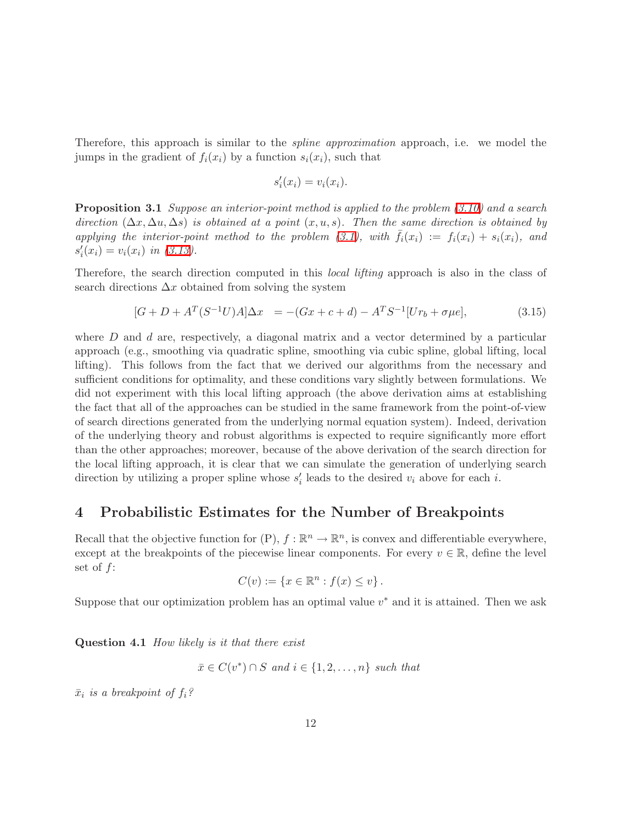Therefore, this approach is similar to the *spline approximation* approach, i.e. we model the jumps in the gradient of  $f_i(x_i)$  by a function  $s_i(x_i)$ , such that

$$
s_i'(x_i) = v_i(x_i).
$$

**Proposition 3.1** Suppose an interior-point method is applied to the problem [\(3.10\)](#page-10-0) and a search direction  $(\Delta x, \Delta u, \Delta s)$  is obtained at a point  $(x, u, s)$ . Then the same direction is obtained by applying the interior-point method to the problem [\(3.1\)](#page-6-3), with  $\bar{f}_i(x_i) := f_i(x_i) + s_i(x_i)$ , and  $s_i'(x_i) = v_i(x_i) \text{ in } (3.13).$  $s_i'(x_i) = v_i(x_i) \text{ in } (3.13).$  $s_i'(x_i) = v_i(x_i) \text{ in } (3.13).$ 

Therefore, the search direction computed in this local lifting approach is also in the class of search directions  $\Delta x$  obtained from solving the system

$$
[G+D+A^T(S^{-1}U)A]\Delta x = -(Gx+c+d) - A^TS^{-1}[Ur_b + \sigma \mu e], \qquad (3.15)
$$

where  $D$  and  $d$  are, respectively, a diagonal matrix and a vector determined by a particular approach (e.g., smoothing via quadratic spline, smoothing via cubic spline, global lifting, local lifting). This follows from the fact that we derived our algorithms from the necessary and sufficient conditions for optimality, and these conditions vary slightly between formulations. We did not experiment with this local lifting approach (the above derivation aims at establishing the fact that all of the approaches can be studied in the same framework from the point-of-view of search directions generated from the underlying normal equation system). Indeed, derivation of the underlying theory and robust algorithms is expected to require significantly more effort than the other approaches; moreover, because of the above derivation of the search direction for the local lifting approach, it is clear that we can simulate the generation of underlying search direction by utilizing a proper spline whose  $s'_{i}$  leads to the desired  $v_{i}$  above for each i.

# <span id="page-11-0"></span>4 Probabilistic Estimates for the Number of Breakpoints

Recall that the objective function for  $(P)$ ,  $f : \mathbb{R}^n \to \mathbb{R}^n$ , is convex and differentiable everywhere, except at the breakpoints of the piecewise linear components. For every  $v \in \mathbb{R}$ , define the level set of f:

$$
C(v) := \{ x \in \mathbb{R}^n : f(x) \le v \}.
$$

<span id="page-11-1"></span>Suppose that our optimization problem has an optimal value  $v^*$  and it is attained. Then we ask

Question 4.1 How likely is it that there exist

$$
\bar{x} \in C(v^*) \cap S \text{ and } i \in \{1, 2, \dots, n\} \text{ such that}
$$

 $\bar{x}_i$  is a breakpoint of  $f_i$ ?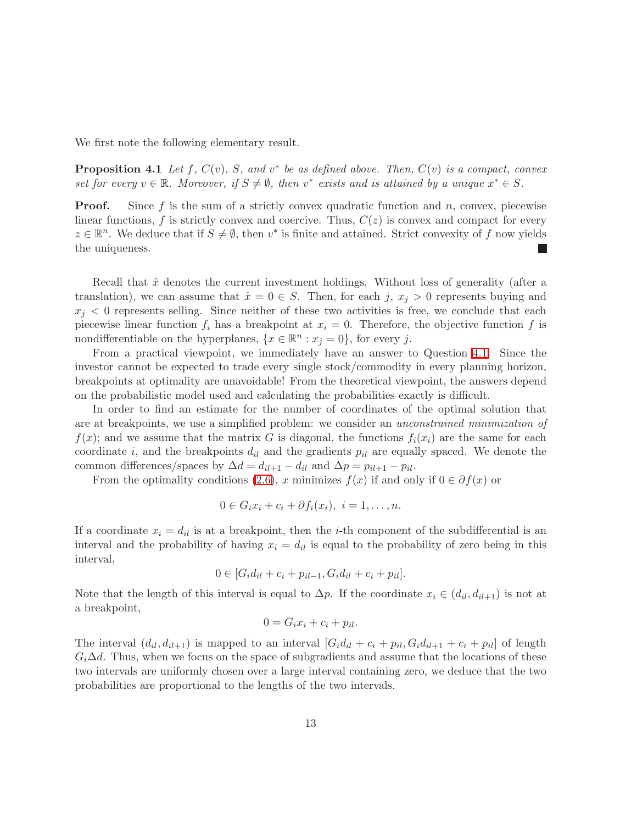We first note the following elementary result.

**Proposition 4.1** Let f,  $C(v)$ , S, and  $v^*$  be as defined above. Then,  $C(v)$  is a compact, convex set for every  $v \in \mathbb{R}$ . Moreover, if  $S \neq \emptyset$ , then  $v^*$  exists and is attained by a unique  $x^* \in S$ .

**Proof.** Since f is the sum of a strictly convex quadratic function and n, convex, piecewise linear functions, f is strictly convex and coercive. Thus,  $C(z)$  is convex and compact for every  $z \in \mathbb{R}^n$ . We deduce that if  $S \neq \emptyset$ , then  $v^*$  is finite and attained. Strict convexity of f now yields the uniqueness.

Recall that  $\hat{x}$  denotes the current investment holdings. Without loss of generality (after a translation), we can assume that  $\hat{x} = 0 \in S$ . Then, for each j,  $x_j > 0$  represents buying and  $x_i$  < 0 represents selling. Since neither of these two activities is free, we conclude that each piecewise linear function  $f_i$  has a breakpoint at  $x_i = 0$ . Therefore, the objective function f is nondifferentiable on the hyperplanes,  $\{x \in \mathbb{R}^n : x_j = 0\}$ , for every j.

From a practical viewpoint, we immediately have an answer to Question [4.1.](#page-11-1) Since the investor cannot be expected to trade every single stock/commodity in every planning horizon, breakpoints at optimality are unavoidable! From the theoretical viewpoint, the answers depend on the probabilistic model used and calculating the probabilities exactly is difficult.

In order to find an estimate for the number of coordinates of the optimal solution that are at breakpoints, we use a simplified problem: we consider an unconstrained minimization of  $f(x)$ ; and we assume that the matrix G is diagonal, the functions  $f_i(x_i)$  are the same for each coordinate i, and the breakpoints  $d_{il}$  and the gradients  $p_{il}$  are equally spaced. We denote the common differences/spaces by  $\Delta d = d_{il+1} - d_{il}$  and  $\Delta p = p_{il+1} - p_{il}$ .

From the optimality conditions [\(2.6\)](#page-5-0), x minimizes  $f(x)$  if and only if  $0 \in \partial f(x)$  or

$$
0 \in G_i x_i + c_i + \partial f_i(x_i), \ i = 1, \ldots, n.
$$

If a coordinate  $x_i = d_{il}$  is at a breakpoint, then the *i*-th component of the subdifferential is an interval and the probability of having  $x_i = d_{ii}$  is equal to the probability of zero being in this interval,

$$
0 \in [G_i d_{il} + c_i + p_{il-1}, G_i d_{il} + c_i + p_{il}].
$$

Note that the length of this interval is equal to  $\Delta p$ . If the coordinate  $x_i \in (d_{il}, d_{il+1})$  is not at a breakpoint,

$$
0 = G_i x_i + c_i + p_{il}.
$$

The interval  $(d_{il}, d_{il+1})$  is mapped to an interval  $[G_i d_{il} + c_i + p_{il}, G_i d_{il+1} + c_i + p_{il}]$  of length  $G_i\Delta d$ . Thus, when we focus on the space of subgradients and assume that the locations of these two intervals are uniformly chosen over a large interval containing zero, we deduce that the two probabilities are proportional to the lengths of the two intervals.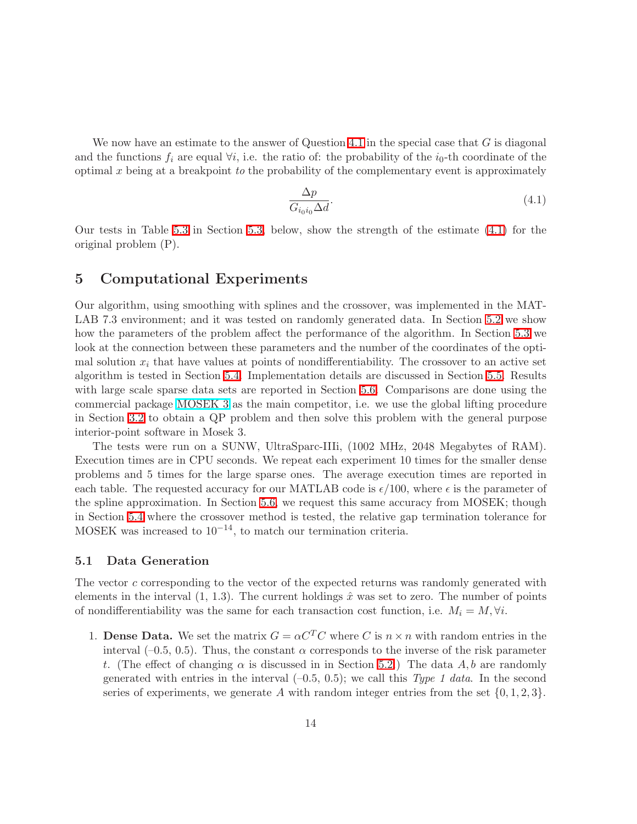We now have an estimate to the answer of Question [4.1](#page-11-1) in the special case that  $G$  is diagonal and the functions  $f_i$  are equal  $\forall i$ , i.e. the ratio of: the probability of the  $i_0$ -th coordinate of the optimal  $x$  being at a breakpoint to the probability of the complementary event is approximately

<span id="page-13-2"></span>
$$
\frac{\Delta p}{G_{i_0 i_0} \Delta d}.\tag{4.1}
$$

Our tests in Table [5.3](#page-16-1) in Section [5.3,](#page-16-0) below, show the strength of the estimate [\(4.1\)](#page-13-2) for the original problem (P).

### <span id="page-13-0"></span>5 Computational Experiments

Our algorithm, using smoothing with splines and the crossover, was implemented in the MAT-LAB 7.3 environment; and it was tested on randomly generated data. In Section [5.2](#page-14-0) we show how the parameters of the problem affect the performance of the algorithm. In Section [5.3](#page-16-0) we look at the connection between these parameters and the number of the coordinates of the optimal solution  $x_i$  that have values at points of nondifferentiability. The crossover to an active set algorithm is tested in Section [5.4.](#page-17-0) Implementation details are discussed in Section [5.5.](#page-18-0) Results with large scale sparse data sets are reported in Section [5.6.](#page-21-0) Comparisons are done using the commercial package [MOSEK 3](http://www.mosek.com/) as the main competitor, i.e. we use the global lifting procedure in Section [3.2](#page-8-1) to obtain a QP problem and then solve this problem with the general purpose interior-point software in Mosek 3.

The tests were run on a SUNW, UltraSparc-IIIi, (1002 MHz, 2048 Megabytes of RAM). Execution times are in CPU seconds. We repeat each experiment 10 times for the smaller dense problems and 5 times for the large sparse ones. The average execution times are reported in each table. The requested accuracy for our MATLAB code is  $\epsilon/100$ , where  $\epsilon$  is the parameter of the spline approximation. In Section [5.6,](#page-21-0) we request this same accuracy from MOSEK; though in Section [5.4](#page-17-0) where the crossover method is tested, the relative gap termination tolerance for MOSEK was increased to  $10^{-14}$ , to match our termination criteria.

### <span id="page-13-1"></span>5.1 Data Generation

The vector c corresponding to the vector of the expected returns was randomly generated with elements in the interval  $(1, 1.3)$ . The current holdings  $\hat{x}$  was set to zero. The number of points of nondifferentiability was the same for each transaction cost function, i.e.  $M_i = M, \forall i$ .

1. **Dense Data.** We set the matrix  $G = \alpha C^{T} C$  where C is  $n \times n$  with random entries in the interval (–0.5, 0.5). Thus, the constant  $\alpha$  corresponds to the inverse of the risk parameter t. (The effect of changing  $\alpha$  is discussed in in Section [5.2.](#page-14-0)) The data A, b are randomly generated with entries in the interval  $(-0.5, 0.5)$ ; we call this *Type 1 data*. In the second series of experiments, we generate A with random integer entries from the set  $\{0, 1, 2, 3\}$ .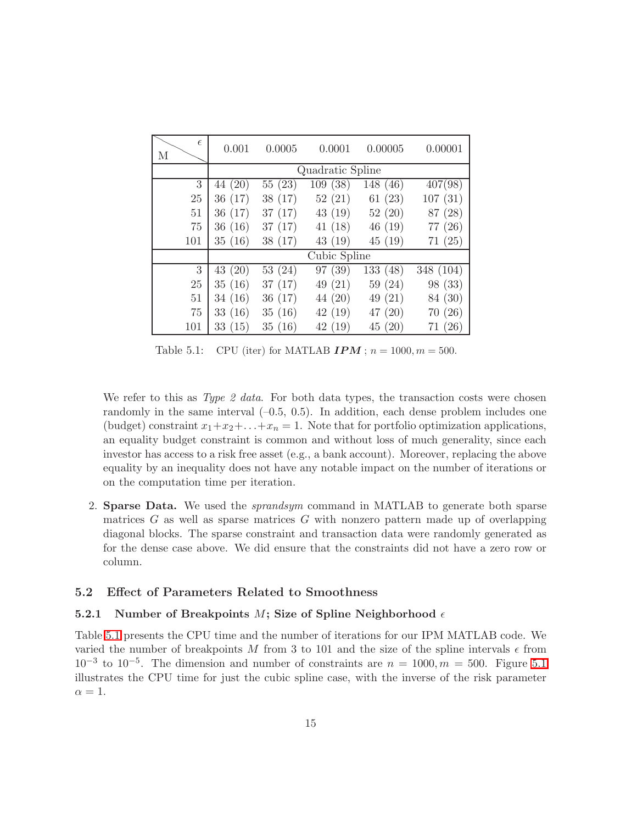| $\epsilon$<br>М | 0.001   | 0.0005  | 0.0001           | 0.00005  | 0.00001   |
|-----------------|---------|---------|------------------|----------|-----------|
|                 |         |         | Quadratic Spline |          |           |
| 3               | 44 (20) | 55(23)  | 109(38)          | 148 (46) | 407(98)   |
| 25              | 36(17)  | 38 (17) | 52(21)           | 61(23)   | 107(31)   |
| 51              | 36(17)  | 37(17)  | 43(19)           | 52(20)   | 87 (28)   |
| 75              | 36(16)  | 37(17)  | 41(18)           | 46(19)   | 77 (26)   |
| 101             | 35(16)  | 38(17)  | 43 (19)          | 45(19)   | 71(25)    |
|                 |         |         | Cubic Spline     |          |           |
| 3               | 43(20)  | 53(24)  | 97 (39)          | 133(48)  | 348 (104) |
| 25              | 35(16)  | 37(17)  | 49(21)           | 59(24)   | 98 (33)   |
| 51              | 34(16)  | 36(17)  | 44 (20)          | 49(21)   | 84 (30)   |
| 75              | 33(16)  | 35(16)  | 42(19)           | 47(20)   | 70(26)    |
| 101             | 33(15)  | 35(16)  | 42(19)           | 45(20)   | 71(26)    |

<span id="page-14-2"></span>Table 5.1: CPU (iter) for MATLAB  $IPM$ ;  $n = 1000, m = 500$ .

We refer to this as  $Type\;2\;data$ . For both data types, the transaction costs were chosen randomly in the same interval  $(-0.5, 0.5)$ . In addition, each dense problem includes one (budget) constraint  $x_1+x_2+\ldots+x_n=1$ . Note that for portfolio optimization applications, an equality budget constraint is common and without loss of much generality, since each investor has access to a risk free asset (e.g., a bank account). Moreover, replacing the above equality by an inequality does not have any notable impact on the number of iterations or on the computation time per iteration.

2. Sparse Data. We used the sprandsym command in MATLAB to generate both sparse matrices  $G$  as well as sparse matrices  $G$  with nonzero pattern made up of overlapping diagonal blocks. The sparse constraint and transaction data were randomly generated as for the dense case above. We did ensure that the constraints did not have a zero row or column.

### <span id="page-14-1"></span><span id="page-14-0"></span>5.2 Effect of Parameters Related to Smoothness

### 5.2.1 Number of Breakpoints M; Size of Spline Neighborhood  $\epsilon$

Table [5.1](#page-14-2) presents the CPU time and the number of iterations for our IPM MATLAB code. We varied the number of breakpoints M from 3 to 101 and the size of the spline intervals  $\epsilon$  from  $10^{-3}$  to  $10^{-5}$ . The dimension and number of constraints are  $n = 1000, m = 500$ . Figure [5.1](#page-15-1) illustrates the CPU time for just the cubic spline case, with the inverse of the risk parameter  $\alpha = 1$ .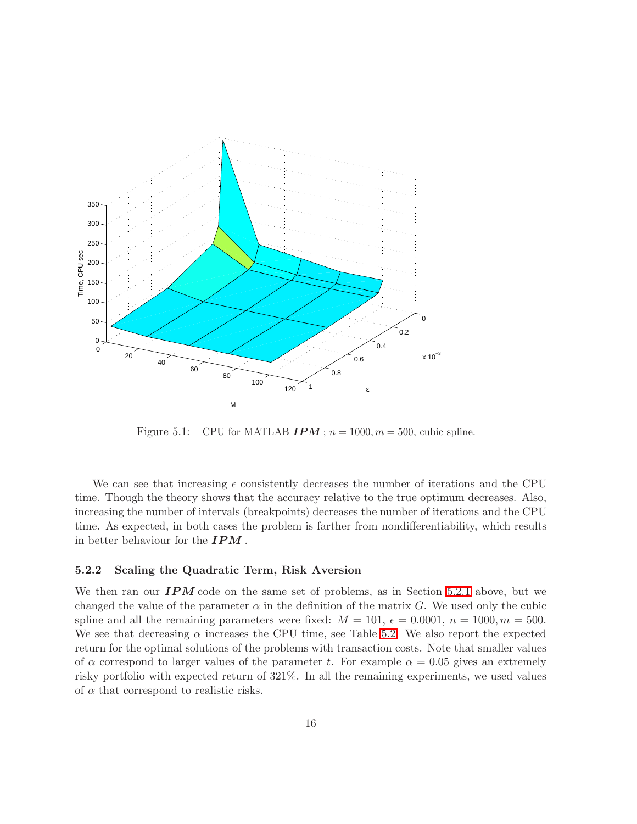

<span id="page-15-1"></span>Figure 5.1: CPU for MATLAB  $IPM$ ;  $n = 1000, m = 500$ , cubic spline.

We can see that increasing  $\epsilon$  consistently decreases the number of iterations and the CPU time. Though the theory shows that the accuracy relative to the true optimum decreases. Also, increasing the number of intervals (breakpoints) decreases the number of iterations and the CPU time. As expected, in both cases the problem is farther from nondifferentiability, which results in better behaviour for the  $IPM$ .

#### <span id="page-15-0"></span>5.2.2 Scaling the Quadratic Term, Risk Aversion

We then ran our  $IPM$  code on the same set of problems, as in Section [5.2.1](#page-14-1) above, but we changed the value of the parameter  $\alpha$  in the definition of the matrix G. We used only the cubic spline and all the remaining parameters were fixed:  $M = 101$ ,  $\epsilon = 0.0001$ ,  $n = 1000$ ,  $m = 500$ . We see that decreasing  $\alpha$  increases the CPU time, see Table [5.2.](#page-16-2) We also report the expected return for the optimal solutions of the problems with transaction costs. Note that smaller values of  $\alpha$  correspond to larger values of the parameter t. For example  $\alpha = 0.05$  gives an extremely risky portfolio with expected return of 321%. In all the remaining experiments, we used values of  $\alpha$  that correspond to realistic risks.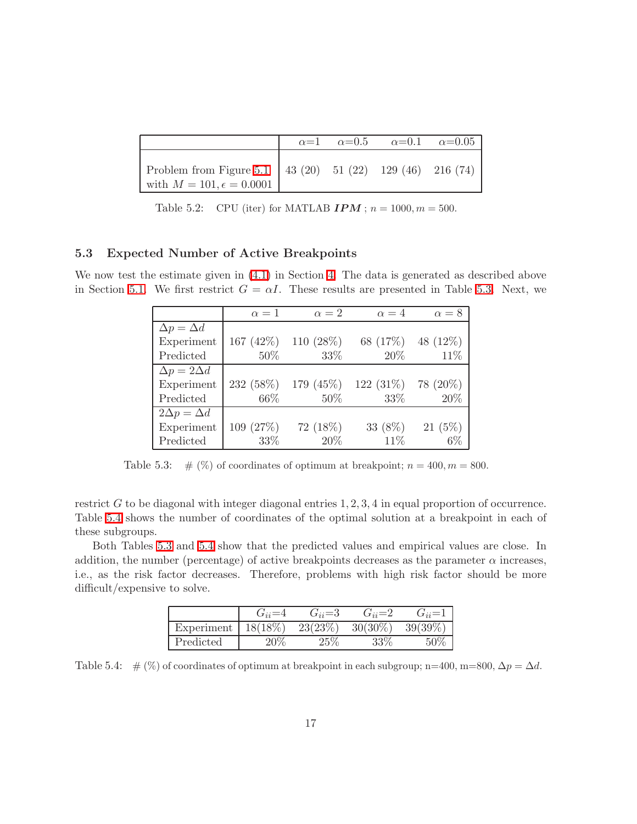|                                                                                                  |  | $\alpha=1$ $\alpha=0.5$ $\alpha=0.1$ $\alpha=0.05$ |  |
|--------------------------------------------------------------------------------------------------|--|----------------------------------------------------|--|
| Problem from Figure 5.1   43 (20) 51 (22) 129 (46) 216 (74)<br>with $M = 101, \epsilon = 0.0001$ |  |                                                    |  |

<span id="page-16-2"></span>Table 5.2: CPU (iter) for MATLAB  $IPM$ ;  $n = 1000, m = 500$ .

### <span id="page-16-0"></span>5.3 Expected Number of Active Breakpoints

We now test the estimate given in  $(4.1)$  in Section [4.](#page-11-0) The data is generated as described above in Section [5.1.](#page-13-1) We first restrict  $G = \alpha I$ . These results are presented in Table [5.3.](#page-16-1) Next, we

|                        | $\alpha=1$   | $\alpha=2$   | $\alpha = 4$ | $\alpha = 8$ |
|------------------------|--------------|--------------|--------------|--------------|
| $\Delta p = \Delta d$  |              |              |              |              |
| Experiment             | 167 $(42\%)$ | 110 $(28\%)$ | 68 (17%)     | 48 (12%)     |
| Predicted              | 50%          | 33%          | 20\%         | 11\%         |
| $\Delta p = 2\Delta d$ |              |              |              |              |
| Experiment             | 232 (58%)    | 179 $(45%)$  | 122 $(31\%)$ | 78 (20%)     |
| Predicted              | 66\%         | 50%          | 33\%         | 20%          |
| $2\Delta p = \Delta d$ |              |              |              |              |
| Experiment             | 109 (27%)    | 72 (18%)     | 33 (8%)      | $21(5\%)$    |
| Predicted              | 33\%         | 20%          | 11\%         | $6\%$        |

<span id="page-16-1"></span>Table 5.3:  $\#$  (%) of coordinates of optimum at breakpoint;  $n = 400, m = 800$ .

restrict  $G$  to be diagonal with integer diagonal entries  $1, 2, 3, 4$  in equal proportion of occurrence. Table [5.4](#page-16-3) shows the number of coordinates of the optimal solution at a breakpoint in each of these subgroups.

Both Tables [5.3](#page-16-1) and [5.4](#page-16-3) show that the predicted values and empirical values are close. In addition, the number (percentage) of active breakpoints decreases as the parameter  $\alpha$  increases, i.e., as the risk factor decreases. Therefore, problems with high risk factor should be more difficult/expensive to solve.

|            | $\sigma_{ii} =$ | $G_{ii} = 3$ | $G_{ii}=2$ | $\vec{J}_{ii}$ = |
|------------|-----------------|--------------|------------|------------------|
| Experiment | 18(18%)         | 23(23%)      | $30(30\%)$ | 39(39%)          |
| Predicted  | $20\%$          | $25\%$       | 220        |                  |

<span id="page-16-3"></span>Table 5.4: #  $(\%)$  of coordinates of optimum at breakpoint in each subgroup; n=400, m=800,  $\Delta p = \Delta d$ .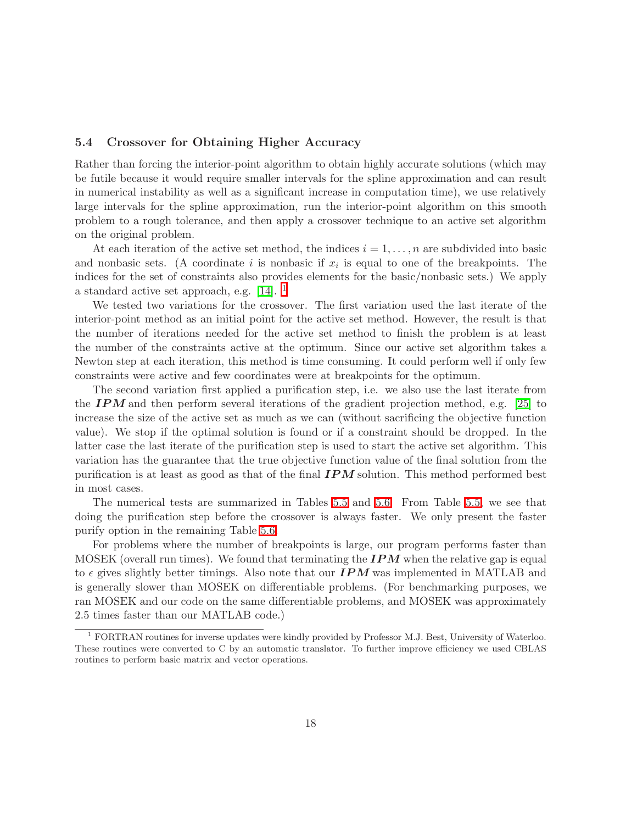### <span id="page-17-0"></span>5.4 Crossover for Obtaining Higher Accuracy

Rather than forcing the interior-point algorithm to obtain highly accurate solutions (which may be futile because it would require smaller intervals for the spline approximation and can result in numerical instability as well as a significant increase in computation time), we use relatively large intervals for the spline approximation, run the interior-point algorithm on this smooth problem to a rough tolerance, and then apply a crossover technique to an active set algorithm on the original problem.

At each iteration of the active set method, the indices  $i = 1, \ldots, n$  are subdivided into basic and nonbasic sets. (A coordinate i is nonbasic if  $x_i$  is equal to one of the breakpoints. The indices for the set of constraints also provides elements for the basic/nonbasic sets.) We apply a standard active set approach, e.g. [\[14\]](#page-29-11). [1](#page-17-1)

We tested two variations for the crossover. The first variation used the last iterate of the interior-point method as an initial point for the active set method. However, the result is that the number of iterations needed for the active set method to finish the problem is at least the number of the constraints active at the optimum. Since our active set algorithm takes a Newton step at each iteration, this method is time consuming. It could perform well if only few constraints were active and few coordinates were at breakpoints for the optimum.

The second variation first applied a purification step, i.e. we also use the last iterate from the  $IPM$  and then perform several iterations of the gradient projection method, e.g. [\[25\]](#page-29-12) to increase the size of the active set as much as we can (without sacrificing the objective function value). We stop if the optimal solution is found or if a constraint should be dropped. In the latter case the last iterate of the purification step is used to start the active set algorithm. This variation has the guarantee that the true objective function value of the final solution from the purification is at least as good as that of the final  $IPM$  solution. This method performed best in most cases.

The numerical tests are summarized in Tables [5.5](#page-18-1) and [5.6.](#page-19-0) From Table [5.5,](#page-18-1) we see that doing the purification step before the crossover is always faster. We only present the faster purify option in the remaining Table [5.6.](#page-19-0)

For problems where the number of breakpoints is large, our program performs faster than MOSEK (overall run times). We found that terminating the  $IPM$  when the relative gap is equal to  $\epsilon$  gives slightly better timings. Also note that our **IPM** was implemented in MATLAB and is generally slower than MOSEK on differentiable problems. (For benchmarking purposes, we ran MOSEK and our code on the same differentiable problems, and MOSEK was approximately 2.5 times faster than our MATLAB code.)

<span id="page-17-1"></span><sup>1</sup> FORTRAN routines for inverse updates were kindly provided by Professor M.J. Best, University of Waterloo. These routines were converted to C by an automatic translator. To further improve efficiency we used CBLAS routines to perform basic matrix and vector operations.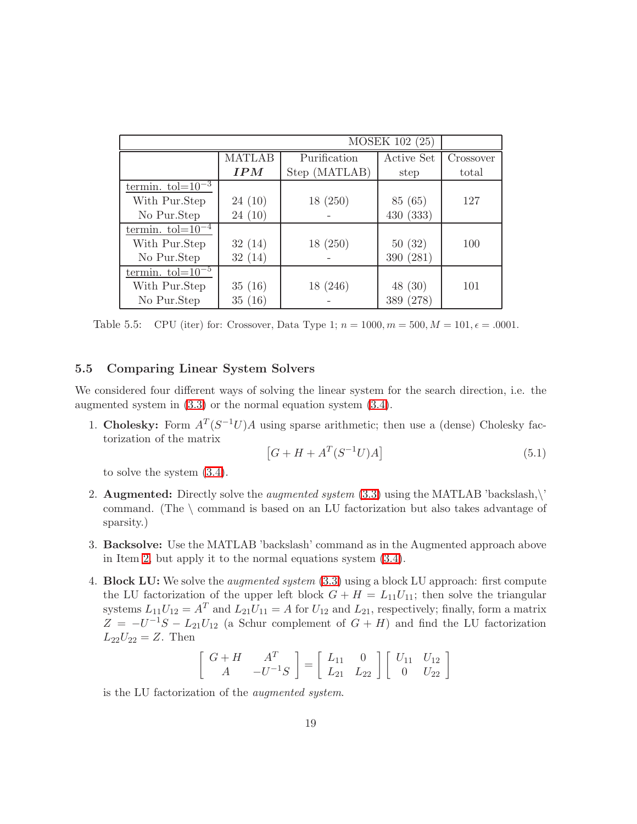| MOSEK 102 (25)        |        |               |              |           |  |  |  |  |
|-----------------------|--------|---------------|--------------|-----------|--|--|--|--|
|                       | MATLAB | Purification  | Active Set   | Crossover |  |  |  |  |
|                       | IPM    | Step (MATLAB) | step         | total     |  |  |  |  |
| termin. $tol=10^{-3}$ |        |               |              |           |  |  |  |  |
| With Pur.Step         | 24(10) | 18(250)       | 85 (65)      | 127       |  |  |  |  |
| No Pur.Step           | 24(10) |               | 430(333)     |           |  |  |  |  |
| termin. $tol=10^{-4}$ |        |               |              |           |  |  |  |  |
| With Pur.Step         | 32(14) | 18(250)       | 50(32)       | 100       |  |  |  |  |
| No Pur.Step           | 32(14) |               | 390 (281)    |           |  |  |  |  |
| termin. $tol=10^{-5}$ |        |               |              |           |  |  |  |  |
| With Pur.Step         | 35(16) | 18 (246)      | 48(30)       | 101       |  |  |  |  |
| No Pur.Step           | 35(16) |               | (278)<br>389 |           |  |  |  |  |

<span id="page-18-1"></span>Table 5.5: CPU (iter) for: Crossover, Data Type 1;  $n = 1000, m = 500, M = 101, \epsilon = .0001$ .

### <span id="page-18-0"></span>5.5 Comparing Linear System Solvers

We considered four different ways of solving the linear system for the search direction, i.e. the augmented system in [\(3.3\)](#page-7-1) or the normal equation system [\(3.4\)](#page-7-2).

1. Cholesky: Form  $A^T(S^{-1}U)A$  using sparse arithmetic; then use a (dense) Cholesky factorization of the matrix

$$
[G + H + AT(S-1U)A]
$$
\n(5.1)

to solve the system [\(3.4\)](#page-7-2).

- <span id="page-18-2"></span>2. **Augmented:** Directly solve the *augmented system* [\(3.3\)](#page-7-1) using the MATLAB 'backslash,\' command. (The \ command is based on an LU factorization but also takes advantage of sparsity.)
- 3. Backsolve: Use the MATLAB 'backslash' command as in the Augmented approach above in Item [2,](#page-18-2) but apply it to the normal equations system [\(3.4\)](#page-7-2).
- <span id="page-18-3"></span>4. **Block LU:** We solve the *augmented system* [\(3.3\)](#page-7-1) using a block LU approach: first compute the LU factorization of the upper left block  $G + H = L_{11}U_{11}$ ; then solve the triangular systems  $L_{11}U_{12} = A^T$  and  $L_{21}U_{11} = A$  for  $U_{12}$  and  $L_{21}$ , respectively; finally, form a matrix  $Z = -U^{-1}S - L_{21}U_{12}$  (a Schur complement of  $G + H$ ) and find the LU factorization  $L_{22}U_{22} = Z$ . Then

$$
\left[\begin{array}{cc} G+H & A^T \\ A & -U^{-1}S \end{array}\right] = \left[\begin{array}{cc} L_{11} & 0 \\ L_{21} & L_{22} \end{array}\right] \left[\begin{array}{cc} U_{11} & U_{12} \\ 0 & U_{22} \end{array}\right]
$$

is the LU factorization of the augmented system.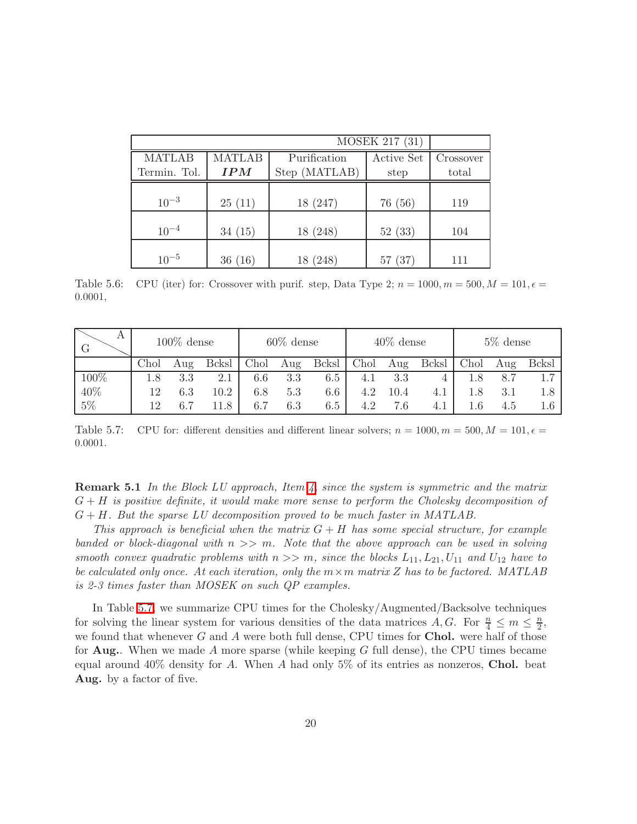|               |        |               | MOSEK 217 (31) |           |
|---------------|--------|---------------|----------------|-----------|
|               |        |               |                |           |
| <b>MATLAB</b> | MATLAB | Purification  | Active Set     | Crossover |
| Termin. Tol.  | IPM    | Step (MATLAB) | step           | total     |
|               |        |               |                |           |
| $10^{-3}$     | 25(11) | 18 (247)      | 76 (56)        | 119       |
|               |        |               |                |           |
| $10^{-4}$     | 34(15) | 18 (248)      | 52(33)         | 104       |
|               |        |               |                |           |
| $10^{-5}$     | 36(16) | 18 (248)      | 57(37)         | 111       |

<span id="page-19-0"></span>Table 5.6: CPU (iter) for: Crossover with purif. step, Data Type 2;  $n = 1000, m = 500, M = 101, \epsilon =$ 0.0001,

| А<br>G  | $100\%$ dense |     | $60\%$ dense  |      | $40\%$ dense |         |      | $5\%$ dense |       |      |     |               |
|---------|---------------|-----|---------------|------|--------------|---------|------|-------------|-------|------|-----|---------------|
|         | Chol          | Aug | <b>B</b> cksl | Chol | Aug          | Bcksl   | Chol | Aug         | Bcksl | Chol | Aug | <b>B</b> cksl |
| $100\%$ | 1.8           | 3.3 | 2.1           | 6.6  | 3.3          | 6.5     | 4.1  | 3.3         |       | 1.8  | 8.7 |               |
| 40%     | 12            | 6.3 | 10.2          | 6.8  | $5.3\,$      | 6.6     | 4.2  | $10.4\,$    | 4.1   | 1.8  | 3.1 | 1.8           |
| 5%      | 12            | 6.7 | LI.8          | 6.7  | $6.3\,$      | $6.5\,$ |      | 7.6         | 4.1   | 1.6  | 4.5 | 1.6           |

<span id="page-19-1"></span>Table 5.7: CPU for: different densities and different linear solvers;  $n = 1000, m = 500, M = 101, \epsilon =$ 0.0001.

**Remark 5.1** In the Block LU approach, Item  $\ddot{A}$ , since the system is symmetric and the matrix  $G + H$  is positive definite, it would make more sense to perform the Cholesky decomposition of  $G + H$ . But the sparse LU decomposition proved to be much faster in MATLAB.

This approach is beneficial when the matrix  $G + H$  has some special structure, for example banded or block-diagonal with  $n \gg m$ . Note that the above approach can be used in solving smooth convex quadratic problems with  $n >> m$ , since the blocks  $L_{11}, L_{21}, U_{11}$  and  $U_{12}$  have to be calculated only once. At each iteration, only the  $m \times m$  matrix Z has to be factored. MATLAB is 2-3 times faster than MOSEK on such QP examples.

In Table [5.7,](#page-19-1) we summarize CPU times for the Cholesky/Augmented/Backsolve techniques for solving the linear system for various densities of the data matrices A, G. For  $\frac{n}{4} \le m \le \frac{n}{2}$  $\frac{n}{2}$ we found that whenever  $G$  and  $A$  were both full dense, CPU times for **Chol.** were half of those for **Aug.**. When we made A more sparse (while keeping G full dense), the CPU times became equal around  $40\%$  density for A. When A had only 5% of its entries as nonzeros, **Chol.** beat Aug. by a factor of five.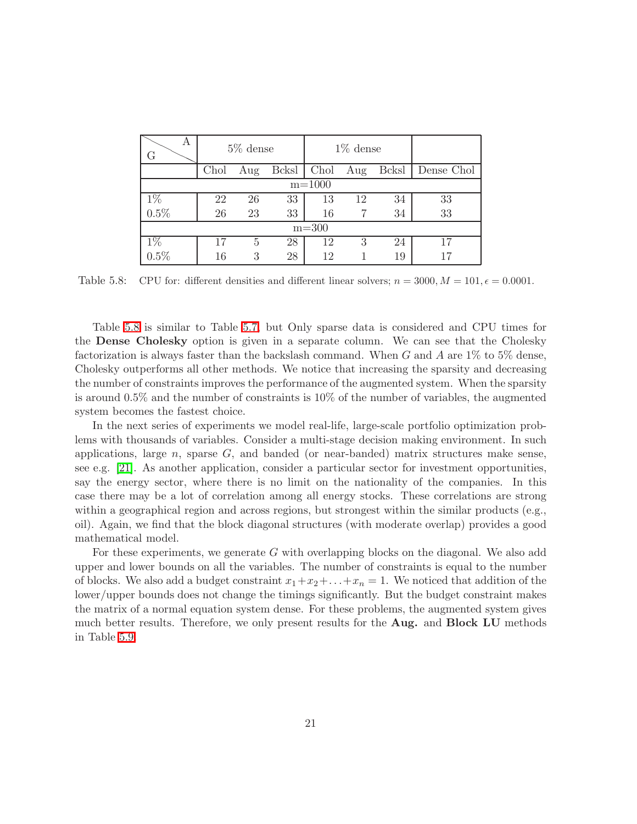| Α<br>G              | $5\%$ dense |     |               |      | $1\%$ dense |       |            |  |  |  |
|---------------------|-------------|-----|---------------|------|-------------|-------|------------|--|--|--|
|                     | Chol        | Aug | <b>B</b> cksl | Chol | Aug         | Bcksl | Dense Chol |  |  |  |
|                     | $m = 1000$  |     |               |      |             |       |            |  |  |  |
| $\frac{1\%}{0.5\%}$ | 22          | 26  | 33            | 13   | 12          | 34    | 33         |  |  |  |
|                     | 26          | 23  | 33            | 16   |             | 34    | 33         |  |  |  |
| $m = 300$           |             |     |               |      |             |       |            |  |  |  |
| $1\%$               | 17          | 5   | 28            | 12   | 3           | 24    |            |  |  |  |
| 0.5%                | 16          | 3   | 28            | 12   |             | 19    |            |  |  |  |

<span id="page-20-0"></span>Table 5.8: CPU for: different densities and different linear solvers;  $n = 3000, M = 101, \epsilon = 0.0001$ .

Table [5.8](#page-20-0) is similar to Table [5.7,](#page-19-1) but Only sparse data is considered and CPU times for the Dense Cholesky option is given in a separate column. We can see that the Cholesky factorization is always faster than the backslash command. When G and A are 1% to 5% dense, Cholesky outperforms all other methods. We notice that increasing the sparsity and decreasing the number of constraints improves the performance of the augmented system. When the sparsity is around 0.5% and the number of constraints is 10% of the number of variables, the augmented system becomes the fastest choice.

In the next series of experiments we model real-life, large-scale portfolio optimization problems with thousands of variables. Consider a multi-stage decision making environment. In such applications, large  $n$ , sparse  $G$ , and banded (or near-banded) matrix structures make sense, see e.g. [\[21\]](#page-29-4). As another application, consider a particular sector for investment opportunities, say the energy sector, where there is no limit on the nationality of the companies. In this case there may be a lot of correlation among all energy stocks. These correlations are strong within a geographical region and across regions, but strongest within the similar products (e.g., oil). Again, we find that the block diagonal structures (with moderate overlap) provides a good mathematical model.

For these experiments, we generate G with overlapping blocks on the diagonal. We also add upper and lower bounds on all the variables. The number of constraints is equal to the number of blocks. We also add a budget constraint  $x_1+x_2+\ldots+x_n=1$ . We noticed that addition of the lower/upper bounds does not change the timings significantly. But the budget constraint makes the matrix of a normal equation system dense. For these problems, the augmented system gives much better results. Therefore, we only present results for the Aug. and Block LU methods in Table [5.9.](#page-21-1)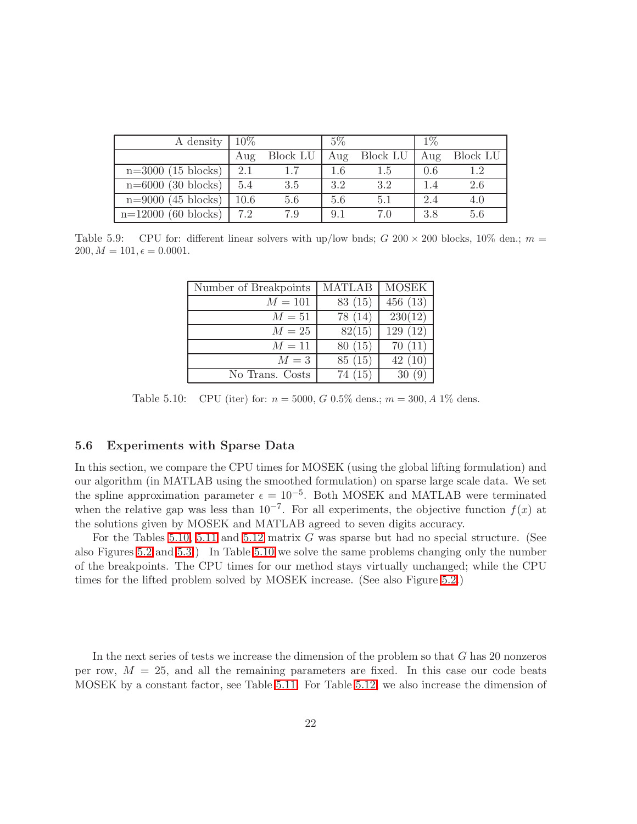| A density             | $10\%$ |                 | $5\%$ |          | $1\%$ |                 |
|-----------------------|--------|-----------------|-------|----------|-------|-----------------|
|                       | Aug    | <b>Block LU</b> | Aug   | Block LU | Aug   | <b>Block LU</b> |
| $n=3000$ (15 blocks)  | 2.1    |                 | 1.6   | 1.5      | 0.6   | 1.2             |
| $n=6000$ (30 blocks)  | 5.4    | 3.5             | 3.2   | 3.2      | 1.4   | 2.6             |
| $n=9000$ (45 blocks)  | 10.6   | 5.6             | 5.6   | 5.1      | 2.4   | 4.0             |
| $n=12000$ (60 blocks) | 7.2    | 7.9             | 9.1   | 7.0      | 3.8   | 5.6             |

<span id="page-21-1"></span>Table 5.9: CPU for: different linear solvers with up/low bnds; G 200  $\times$  200 blocks, 10% den.; m =  $200, M = 101, \epsilon = 0.0001.$ 

| Number of Breakpoints | <b>MATLAB</b> | <b>MOSEK</b> |
|-----------------------|---------------|--------------|
| $M = 101$             | 83 (15)       | 456(13)      |
| $M=51$                | 78 (14)       | 230(12)      |
| $M=25$                | 82(15)        | 129(12)      |
| $M=11$                | 80 (15)       | 70(11)       |
| $M=3$                 | 85(15)        | 42(10)       |
| No Trans. Costs       | 74(15)        | 30(9)        |

<span id="page-21-2"></span>Table 5.10: CPU (iter) for:  $n = 5000, G \ 0.5\%$  dens.;  $m = 300, A \ 1\%$  dens.

### <span id="page-21-0"></span>5.6 Experiments with Sparse Data

In this section, we compare the CPU times for MOSEK (using the global lifting formulation) and our algorithm (in MATLAB using the smoothed formulation) on sparse large scale data. We set the spline approximation parameter  $\epsilon = 10^{-5}$ . Both MOSEK and MATLAB were terminated when the relative gap was less than  $10^{-7}$ . For all experiments, the objective function  $f(x)$  at the solutions given by MOSEK and MATLAB agreed to seven digits accuracy.

For the Tables [5.10,](#page-21-2) [5.11](#page-22-0) and [5.12](#page-22-1) matrix G was sparse but had no special structure. (See also Figures [5.2](#page-24-1) and [5.3.](#page-25-1)) In Table [5.10](#page-21-2) we solve the same problems changing only the number of the breakpoints. The CPU times for our method stays virtually unchanged; while the CPU times for the lifted problem solved by MOSEK increase. (See also Figure [5.2.](#page-24-1))

In the next series of tests we increase the dimension of the problem so that G has 20 nonzeros per row,  $M = 25$ , and all the remaining parameters are fixed. In this case our code beats MOSEK by a constant factor, see Table [5.11.](#page-22-0) For Table [5.12,](#page-22-1) we also increase the dimension of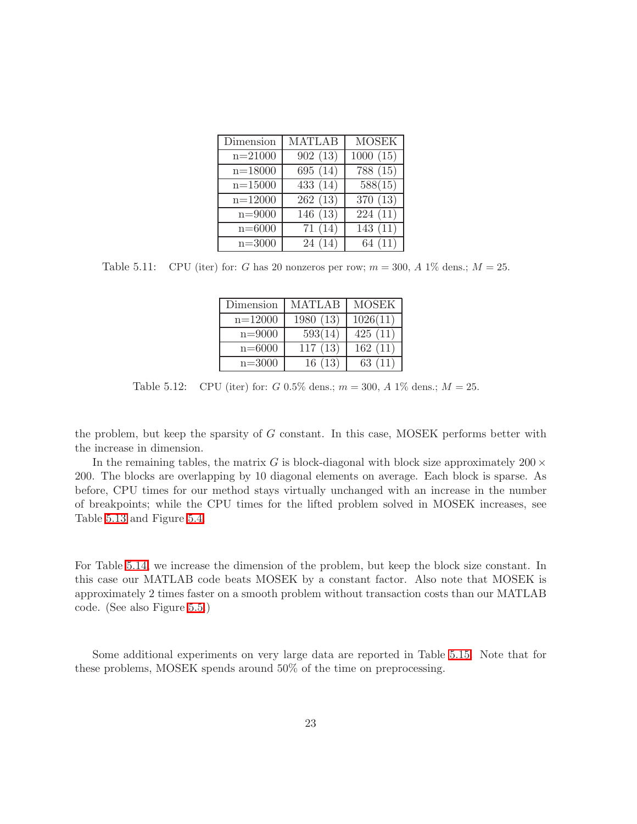| Dimension   | $\overline{\text{MATLAB}}$ | <b>MOSEK</b>           |
|-------------|----------------------------|------------------------|
| $n = 21000$ | 902(13)                    | $\overline{1000}$ (15) |
| $n = 18000$ | 695 (14)                   | 788 (15)               |
| $n = 15000$ | 433 (14)                   | 588(15)                |
| $n = 12000$ | $\overline{262}$ (13)      | 370(13)                |
| $n = 9000$  | 146(13)                    | 224(11)                |
| $n = 6000$  | 71(14)                     | 143(11)                |
| $n = 3000$  | 24(14)                     | 64(11)                 |

<span id="page-22-0"></span>Table 5.11: CPU (iter) for: G has 20 nonzeros per row;  $m = 300$ , A 1\% dens.;  $M = 25$ .

| Dimension   | <b>MATLAB</b> | <b>MOSEK</b> |
|-------------|---------------|--------------|
| $n = 12000$ | 1980(13)      | 1026(11)     |
| $n = 9000$  | 593(14)       | 425(11)      |
| $n = 6000$  | 117(13)       | 162(11)      |
| $n = 3000$  | 16(13)        | 63(11)       |

<span id="page-22-1"></span>Table 5.12: CPU (iter) for: G 0.5% dens.;  $m = 300$ , A 1% dens.;  $M = 25$ .

the problem, but keep the sparsity of G constant. In this case, MOSEK performs better with the increase in dimension.

In the remaining tables, the matrix G is block-diagonal with block size approximately  $200 \times$ 200. The blocks are overlapping by 10 diagonal elements on average. Each block is sparse. As before, CPU times for our method stays virtually unchanged with an increase in the number of breakpoints; while the CPU times for the lifted problem solved in MOSEK increases, see Table [5.13](#page-23-0) and Figure [5.4.](#page-26-0)

For Table [5.14,](#page-23-1) we increase the dimension of the problem, but keep the block size constant. In this case our MATLAB code beats MOSEK by a constant factor. Also note that MOSEK is approximately 2 times faster on a smooth problem without transaction costs than our MATLAB code. (See also Figure [5.5.](#page-27-0))

Some additional experiments on very large data are reported in Table [5.15.](#page-23-2) Note that for these problems, MOSEK spends around 50% of the time on preprocessing.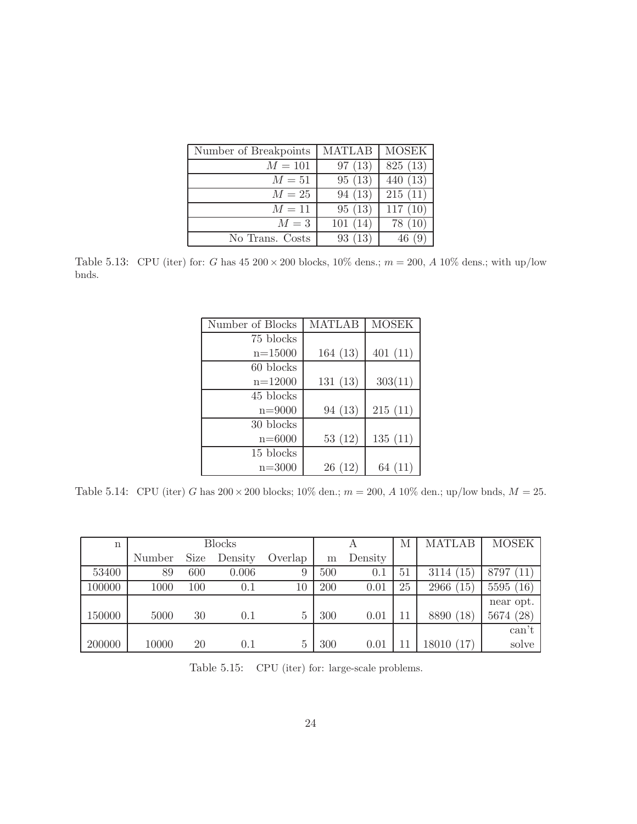| Number of Breakpoints | <b>MATLAB</b> | <b>MOSEK</b> |
|-----------------------|---------------|--------------|
| $M = 101$             | 97(13)        | 825 (13)     |
| $M=51$                | 95(13)        | 440(13)      |
| $M=25$                | 94(13)        | 215(11)      |
| $M=11$                | 95(13)        | 117(10)      |
| $M=3$                 | 101(14)       | 78(10)       |
| No Trans. Costs       | 93(13)        | 46(9)        |

<span id="page-23-0"></span>Table 5.13: CPU (iter) for: G has  $45\ 200 \times 200$  blocks,  $10\%$  dens.;  $m = 200$ , A  $10\%$  dens.; with up/low bnds.

| Number of Blocks | <b>MATLAB</b> | <b>MOSEK</b> |
|------------------|---------------|--------------|
| 75 blocks        |               |              |
| $n = 15000$      | 164(13)       | 401(11)      |
| 60 blocks        |               |              |
| $n = 12000$      | 131(13)       | 303(11)      |
| 45 blocks        |               |              |
| $n = 9000$       | 94 (13)       | 215(11)      |
| 30 blocks        |               |              |
| $n = 6000$       | 53(12)        | 135(11)      |
| 15 blocks        |               |              |
| $n = 3000$       | 26(12)        | 64(11)       |

<span id="page-23-1"></span>Table 5.14: CPU (iter) G has  $200 \times 200$  blocks;  $10\%$  den.;  $m = 200$ , A  $10\%$  den.; up/low bnds,  $M = 25$ .

| n      | <b>Blocks</b> |             |         |                | А   | М       | <b>MATLAB</b> | <b>MOSEK</b>         |              |
|--------|---------------|-------------|---------|----------------|-----|---------|---------------|----------------------|--------------|
|        | Number        | <b>Size</b> | Density | Overlap        | m   | Density |               |                      |              |
| 53400  | 89            | 600         | 0.006   | 9              | 500 | 0.1     | 51            | 3114<br>(15)         | 8797<br>11   |
| 100000 | 1000          | 100         | 0.1     | 10             | 200 | 0.01    | 25            | $15^{\circ}$<br>2966 | 5595(16)     |
|        |               |             |         |                |     |         |               |                      | near opt.    |
| 150000 | 5000          | 30          | 0.1     | $\overline{5}$ | 300 | 0.01    | 11            | 8890 (18)            | (28)<br>5674 |
|        |               |             |         |                |     |         |               |                      | can't        |
| 200000 | 10000         | 20          | $0.1\,$ | $\overline{5}$ | 300 | 0.01    |               | 18010 (17)           | solve        |

<span id="page-23-2"></span>Table 5.15: CPU (iter) for: large-scale problems.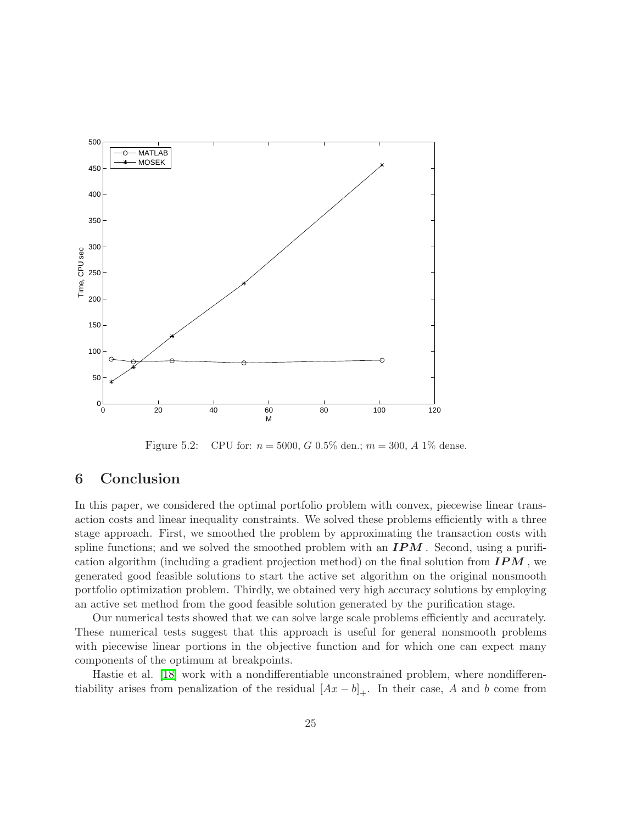

<span id="page-24-1"></span>Figure 5.2: CPU for:  $n = 5000$ , G 0.5% den.;  $m = 300$ , A 1% dense.

# <span id="page-24-0"></span>6 Conclusion

In this paper, we considered the optimal portfolio problem with convex, piecewise linear transaction costs and linear inequality constraints. We solved these problems efficiently with a three stage approach. First, we smoothed the problem by approximating the transaction costs with spline functions; and we solved the smoothed problem with an  $IPM$ . Second, using a purification algorithm (including a gradient projection method) on the final solution from  $IPM$ , we generated good feasible solutions to start the active set algorithm on the original nonsmooth portfolio optimization problem. Thirdly, we obtained very high accuracy solutions by employing an active set method from the good feasible solution generated by the purification stage.

Our numerical tests showed that we can solve large scale problems efficiently and accurately. These numerical tests suggest that this approach is useful for general nonsmooth problems with piecewise linear portions in the objective function and for which one can expect many components of the optimum at breakpoints.

Hastie et al. [\[18\]](#page-29-13) work with a nondifferentiable unconstrained problem, where nondifferentiability arises from penalization of the residual  $[Ax - b]_+$ . In their case, A and b come from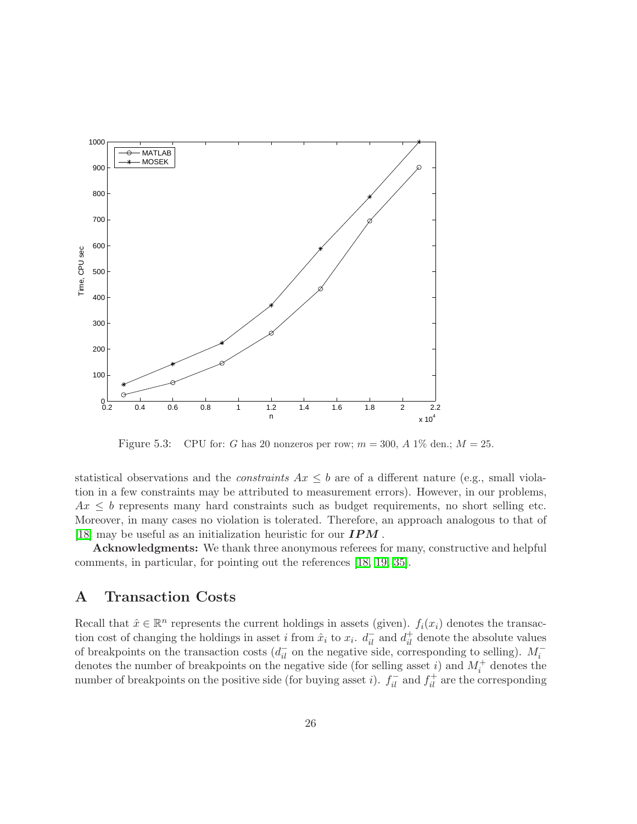

<span id="page-25-1"></span>Figure 5.3: CPU for: G has 20 nonzeros per row;  $m = 300$ , A 1\% den.;  $M = 25$ .

statistical observations and the *constraints*  $Ax \leq b$  are of a different nature (e.g., small violation in a few constraints may be attributed to measurement errors). However, in our problems,  $Ax \leq b$  represents many hard constraints such as budget requirements, no short selling etc. Moreover, in many cases no violation is tolerated. Therefore, an approach analogous to that of [\[18\]](#page-29-13) may be useful as an initialization heuristic for our  $IPM$ .

Acknowledgments: We thank three anonymous referees for many, constructive and helpful comments, in particular, for pointing out the references [\[18,](#page-29-13) [19,](#page-29-1) [35\]](#page-30-4).

# <span id="page-25-0"></span>A Transaction Costs

Recall that  $\hat{x} \in \mathbb{R}^n$  represents the current holdings in assets (given).  $f_i(x_i)$  denotes the transaction cost of changing the holdings in asset *i* from  $\hat{x}_i$  to  $x_i$ .  $d_{il}^-$  and  $d_{il}^+$  denote the absolute values of breakpoints on the transaction costs  $(d_{il}^-$  on the negative side, corresponding to selling).  $M_i^$ denotes the number of breakpoints on the negative side (for selling asset i) and  $M_i^+$  denotes the number of breakpoints on the positive side (for buying asset *i*).  $f_{il}^-$  and  $f_{il}^+$  are the corresponding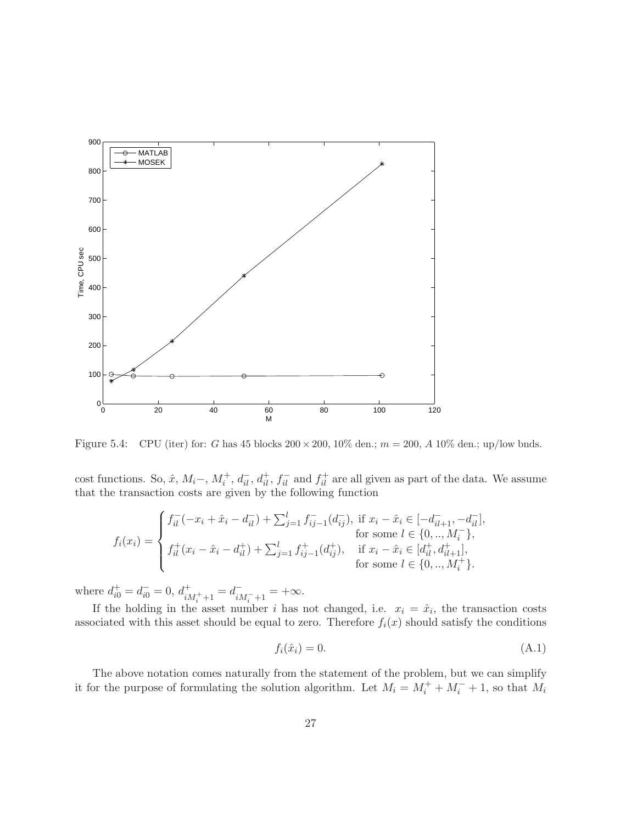

<span id="page-26-0"></span>Figure 5.4: CPU (iter) for: G has 45 blocks  $200 \times 200$ ,  $10\%$  den.;  $m = 200$ , A  $10\%$  den.; up/low bnds.

cost functions. So,  $\hat{x}$ ,  $M_i^-$ ,  $M_i^+$ ,  $d_{il}^-$ ,  $d_{il}^+$ ,  $f_{il}^-$  and  $f_{il}^+$  are all given as part of the data. We assume that the transaction costs are given by the following function

$$
f_i(x_i) = \begin{cases} f_{il}^-(-x_i + \hat{x}_i - d_{il}^-) + \sum_{j=1}^l f_{ij-1}^-(d_{ij}^-), & \text{if } x_i - \hat{x}_i \in [-d_{il+1}^-, -d_{il}^-], \\ f_i(x_i) = \begin{cases} f_{il}^+(x_i - \hat{x}_i - d_{il}^+) + \sum_{j=1}^l f_{ij-1}^+(d_{ij}^+), & \text{if } x_i - \hat{x}_i \in [d_{il}^+, d_{il+1}^+], \\ f_i(x_i) = \begin{cases} f_i(x_i - \hat{x}_i - d_{il}^+) + \sum_{j=1}^l f_{ij-1}^+(d_{ij}^+), & \text{if } x_i - \hat{x}_i \in [d_{il}^+, d_{il+1}^+], \\ f_0, & \text{for some } l \in \{0, ..., M_i^+\}. \end{cases} \end{cases}
$$

where  $d_{i0}^{+} = d_{i0}^{-} = 0$ ,  $d_{iM_{i}^{+}+1}^{+} = d_{iM_{i}^{-}+1}^{-} = +\infty$ .

If the holding in the asset number i has not changed, i.e.  $x_i = \hat{x}_i$ , the transaction costs associated with this asset should be equal to zero. Therefore  $f_i(x)$  should satisfy the conditions

$$
f_i(\hat{x}_i) = 0. \tag{A.1}
$$

The above notation comes naturally from the statement of the problem, but we can simplify it for the purpose of formulating the solution algorithm. Let  $M_i = M_i^+ + M_i^- + 1$ , so that  $M_i$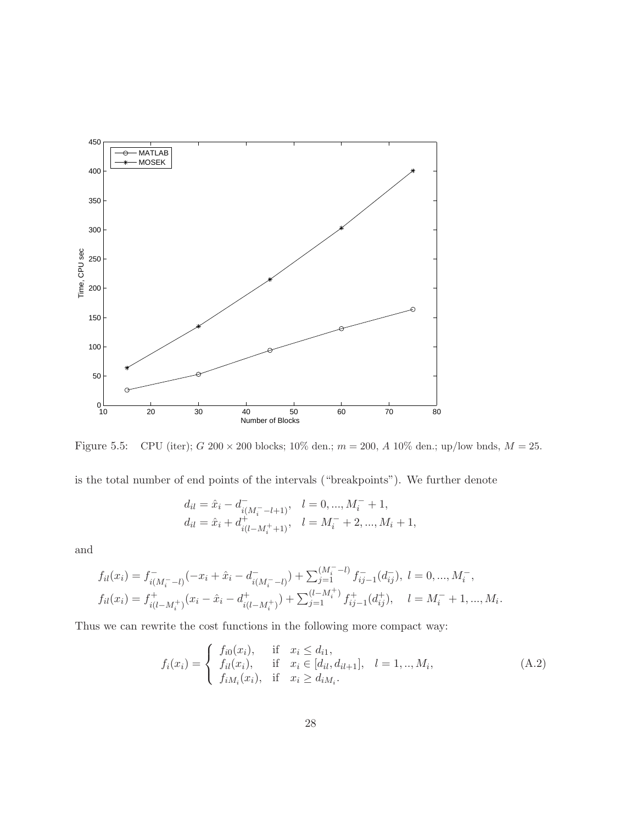

<span id="page-27-0"></span>Figure 5.5: CPU (iter);  $G \ 200 \times 200$  blocks;  $10\%$  den.;  $m = 200$ ,  $A \ 10\%$  den.; up/low bnds,  $M = 25$ .

is the total number of end points of the intervals ("breakpoints"). We further denote

$$
d_{il} = \hat{x}_i - d_{i(M_i^- - l + 1)}^-
$$
\n
$$
l = 0, ..., M_i^- + 1,
$$
\n
$$
d_{il} = \hat{x}_i + d_{i(l-M_i^+ + 1)}^+, \quad l = M_i^- + 2, ..., M_i + 1,
$$

and

$$
f_{il}(x_i) = f_{i(M_i^- - l)}^-( -x_i + \hat{x}_i - d_{i(M_i^- - l)}^- ) + \sum_{j=1}^{(M_i^- - l)} f_{ij-1}^-(d_{ij}^-), \ l = 0, ..., M_i^-,
$$
  
\n
$$
f_{il}(x_i) = f_{i(l-M_i^+)}^+(x_i - \hat{x}_i - d_{i(l-M_i^+)}^+) + \sum_{j=1}^{(l-M_i^+)} f_{ij-1}^+(d_{ij}^+), \quad l = M_i^- + 1, ..., M_i.
$$

Thus we can rewrite the cost functions in the following more compact way:

$$
f_i(x_i) = \begin{cases} f_{i0}(x_i), & \text{if } x_i \le d_{i1}, \\ f_{il}(x_i), & \text{if } x_i \in [d_{il}, d_{il+1}], \\ f_{iM_i}(x_i), & \text{if } x_i \ge d_{iM_i}. \end{cases}
$$
(A.2)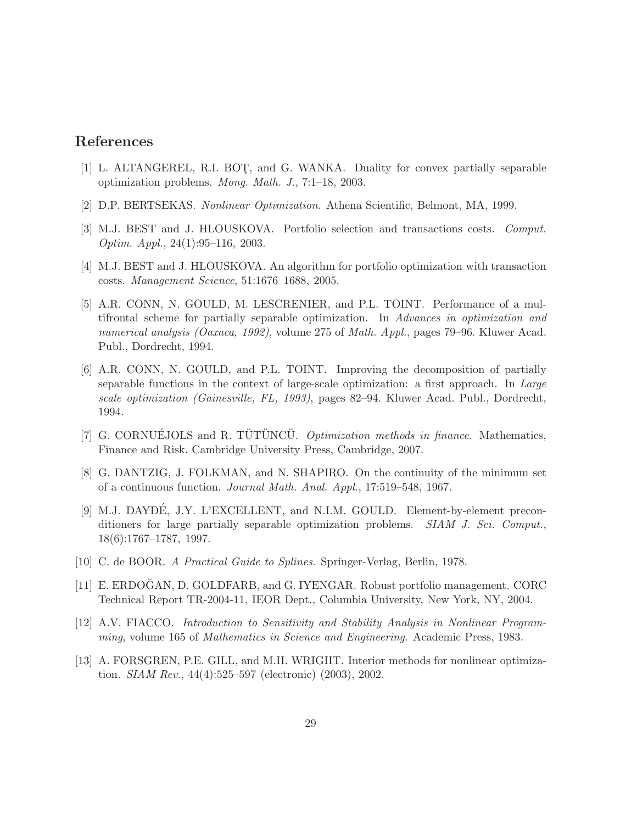### <span id="page-28-4"></span>References

- <span id="page-28-8"></span>[1] L. ALTANGEREL, R.I. BOT¸, and G. WANKA. Duality for convex partially separable optimization problems. Mong. Math. J., 7:1–18, 2003.
- <span id="page-28-2"></span>[2] D.P. BERTSEKAS. Nonlinear Optimization. Athena Scientific, Belmont, MA, 1999.
- <span id="page-28-1"></span>[3] M.J. BEST and J. HLOUSKOVA. Portfolio selection and transactions costs. Comput. Optim. Appl., 24(1):95–116, 2003.
- <span id="page-28-5"></span>[4] M.J. BEST and J. HLOUSKOVA. An algorithm for portfolio optimization with transaction costs. Management Science, 51:1676–1688, 2005.
- [5] A.R. CONN, N. GOULD, M. LESCRENIER, and P.L. TOINT. Performance of a multifrontal scheme for partially separable optimization. In Advances in optimization and numerical analysis (Oaxaca, 1992), volume 275 of Math. Appl., pages 79–96. Kluwer Acad. Publ., Dordrecht, 1994.
- <span id="page-28-6"></span>[6] A.R. CONN, N. GOULD, and P.L. TOINT. Improving the decomposition of partially separable functions in the context of large-scale optimization: a first approach. In Large scale optimization (Gainesville, FL, 1993), pages 82–94. Kluwer Acad. Publ., Dordrecht, 1994.
- <span id="page-28-0"></span>[7] G. CORNUÉJOLS and R. TUTUNCU. *Optimization methods in finance*. Mathematics, Finance and Risk. Cambridge University Press, Cambridge, 2007.
- [8] G. DANTZIG, J. FOLKMAN, and N. SHAPIRO. On the continuity of the minimum set of a continuous function. Journal Math. Anal. Appl., 17:519–548, 1967.
- <span id="page-28-7"></span>[9] M.J. DAYDÉ, J.Y. L'EXCELLENT, and N.I.M. GOULD. Element-by-element preconditioners for large partially separable optimization problems. SIAM J. Sci. Comput., 18(6):1767–1787, 1997.
- <span id="page-28-9"></span><span id="page-28-3"></span>[10] C. de BOOR. A Practical Guide to Splines. Springer-Verlag, Berlin, 1978.
- [11] E. ERDOĞAN, D. GOLDFARB, and G. IYENGAR. Robust portfolio management. CORC Technical Report TR-2004-11, IEOR Dept., Columbia University, New York, NY, 2004.
- <span id="page-28-11"></span><span id="page-28-10"></span>[12] A.V. FIACCO. Introduction to Sensitivity and Stability Analysis in Nonlinear Programming, volume 165 of Mathematics in Science and Engineering. Academic Press, 1983.
- [13] A. FORSGREN, P.E. GILL, and M.H. WRIGHT. Interior methods for nonlinear optimization. SIAM Rev., 44(4):525–597 (electronic) (2003), 2002.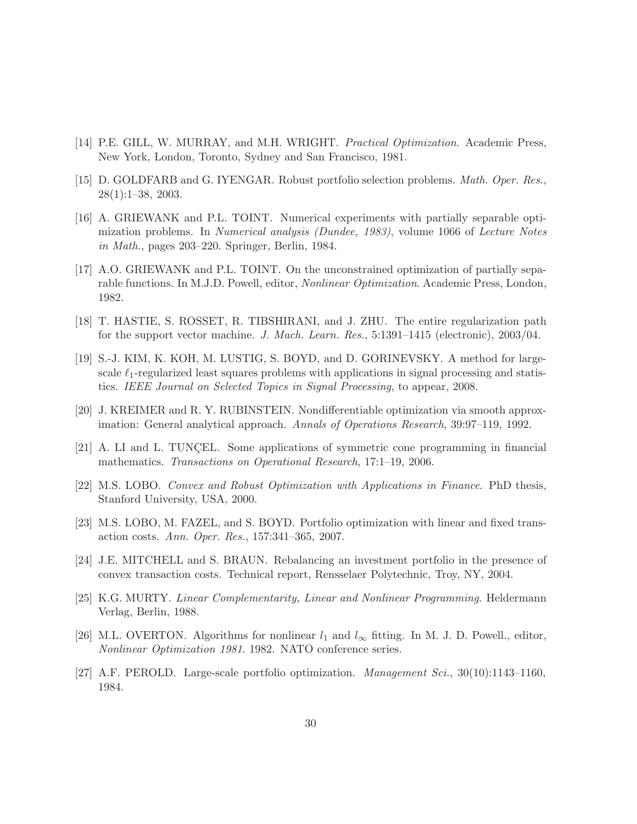- <span id="page-29-11"></span><span id="page-29-6"></span>[14] P.E. GILL, W. MURRAY, and M.H. WRIGHT. Practical Optimization. Academic Press, New York, London, Toronto, Sydney and San Francisco, 1981.
- <span id="page-29-7"></span>[15] D. GOLDFARB and G. IYENGAR. Robust portfolio selection problems. Math. Oper. Res., 28(1):1–38, 2003.
- [16] A. GRIEWANK and P.L. TOINT. Numerical experiments with partially separable optimization problems. In Numerical analysis (Dundee, 1983), volume 1066 of Lecture Notes in Math., pages 203–220. Springer, Berlin, 1984.
- <span id="page-29-8"></span>[17] A.O. GRIEWANK and P.L. TOINT. On the unconstrained optimization of partially separable functions. In M.J.D. Powell, editor, Nonlinear Optimization. Academic Press, London, 1982.
- <span id="page-29-13"></span><span id="page-29-1"></span>[18] T. HASTIE, S. ROSSET, R. TIBSHIRANI, and J. ZHU. The entire regularization path for the support vector machine. J. Mach. Learn. Res., 5:1391–1415 (electronic), 2003/04.
- [19] S.-J. KIM, K. KOH, M. LUSTIG, S. BOYD, and D. GORINEVSKY. A method for largescale  $\ell_1$ -regularized least squares problems with applications in signal processing and statistics. IEEE Journal on Selected Topics in Signal Processing, to appear, 2008.
- <span id="page-29-10"></span><span id="page-29-4"></span>[20] J. KREIMER and R. Y. RUBINSTEIN. Nondifferentiable optimization via smooth approximation: General analytical approach. Annals of Operations Research, 39:97–119, 1992.
- <span id="page-29-2"></span>[21] A. LI and L. TUNCEL. Some applications of symmetric cone programming in financial mathematics. Transactions on Operational Research, 17:1–19, 2006.
- <span id="page-29-5"></span>[22] M.S. LOBO. Convex and Robust Optimization with Applications in Finance. PhD thesis, Stanford University, USA, 2000.
- <span id="page-29-9"></span>[23] M.S. LOBO, M. FAZEL, and S. BOYD. Portfolio optimization with linear and fixed transaction costs. Ann. Oper. Res., 157:341–365, 2007.
- <span id="page-29-12"></span>[24] J.E. MITCHELL and S. BRAUN. Rebalancing an investment portfolio in the presence of convex transaction costs. Technical report, Rensselaer Polytechnic, Troy, NY, 2004.
- [25] K.G. MURTY. Linear Complementarity, Linear and Nonlinear Programming. Heldermann Verlag, Berlin, 1988.
- <span id="page-29-0"></span>[26] M.L. OVERTON. Algorithms for nonlinear  $l_1$  and  $l_\infty$  fitting. In M. J. D. Powell., editor, Nonlinear Optimization 1981. 1982. NATO conference series.
- <span id="page-29-3"></span>[27] A.F. PEROLD. Large-scale portfolio optimization. Management Sci., 30(10):1143–1160, 1984.